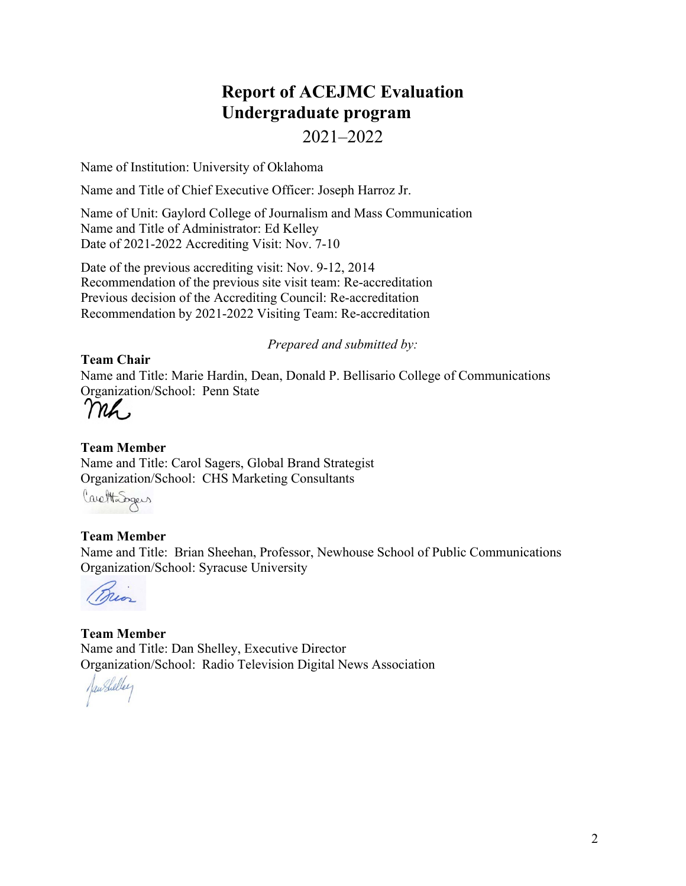# **Report of ACEJMC Evaluation Undergraduate program**

# 2021–2022

Name of Institution: University of Oklahoma

Name and Title of Chief Executive Officer: Joseph Harroz Jr.

Name of Unit: Gaylord College of Journalism and Mass Communication Name and Title of Administrator: Ed Kelley Date of 2021-2022 Accrediting Visit: Nov. 7-10

Date of the previous accrediting visit: Nov. 9-12, 2014 Recommendation of the previous site visit team: Re-accreditation Previous decision of the Accrediting Council: Re-accreditation Recommendation by 2021-2022 Visiting Team: Re-accreditation

*Prepared and submitted by:*

# **Team Chair**

Name and Title: Marie Hardin, Dean, Donald P. Bellisario College of Communications Organization/School: Penn State

# **Team Member**

Name and Title: Carol Sagers, Global Brand Strategist Organization/School: CHS Marketing Consultants

CarettaSegers

# **Team Member**

Name and Title: Brian Sheehan, Professor, Newhouse School of Public Communications Organization/School: Syracuse University

**Team Member** Name and Title: Dan Shelley, Executive Director Organization/School: Radio Television Digital News Association

JawShelley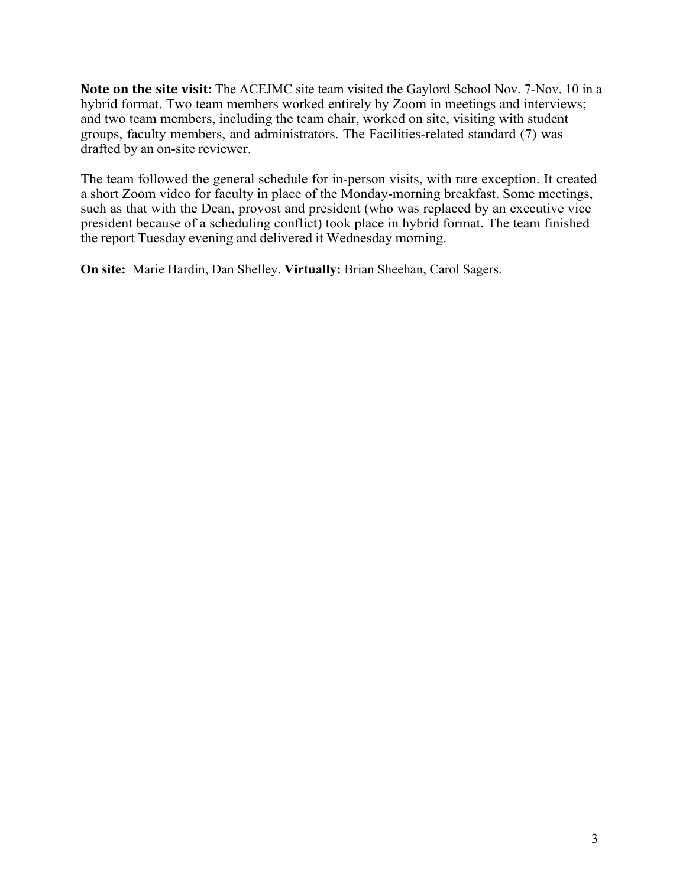**Note on the site visit:** The ACEJMC site team visited the Gaylord School Nov. 7-Nov. 10 in a hybrid format. Two team members worked entirely by Zoom in meetings and interviews; and two team members, including the team chair, worked on site, visiting with student groups, faculty members, and administrators. The Facilities-related standard (7) was drafted by an on-site reviewer.

The team followed the general schedule for in-person visits, with rare exception. It created a short Zoom video for faculty in place of the Monday-morning breakfast. Some meetings, such as that with the Dean, provost and president (who was replaced by an executive vice president because of a scheduling conflict) took place in hybrid format. The team finished the report Tuesday evening and delivered it Wednesday morning.

**On site:** Marie Hardin, Dan Shelley. **Virtually:** Brian Sheehan, Carol Sagers.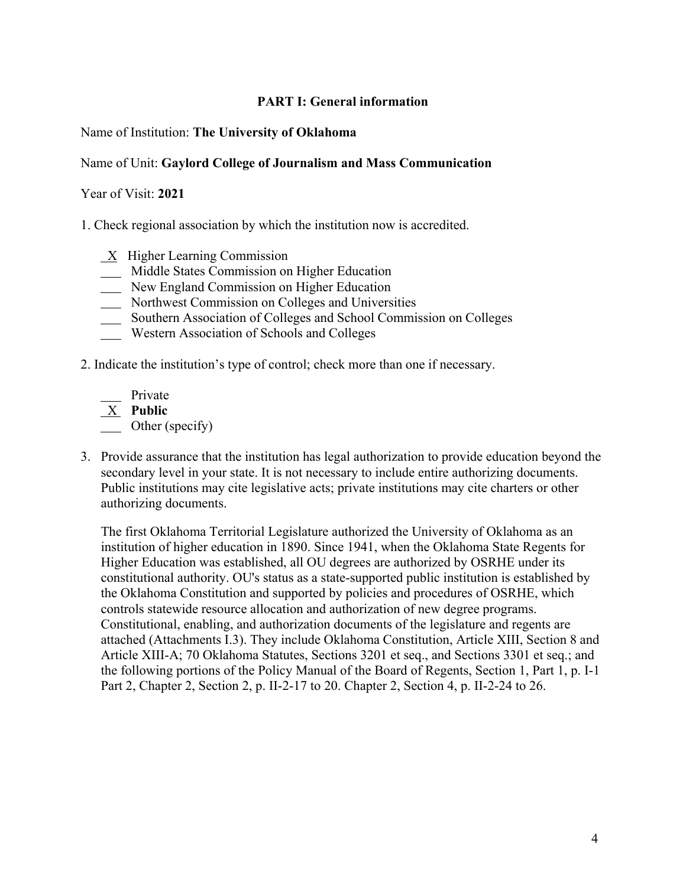# **PART I: General information**

# Name of Institution: **The University of Oklahoma**

# Name of Unit: **Gaylord College of Journalism and Mass Communication**

#### Year of Visit: **2021**

1. Check regional association by which the institution now is accredited.

- $X$  Higher Learning Commission
- Middle States Commission on Higher Education
- New England Commission on Higher Education
- Northwest Commission on Colleges and Universities
- Southern Association of Colleges and School Commission on Colleges
- Western Association of Schools and Colleges
- 2. Indicate the institution's type of control; check more than one if necessary.

 Private X **Public C** Other (specify)

3. Provide assurance that the institution has legal authorization to provide education beyond the secondary level in your state. It is not necessary to include entire authorizing documents. Public institutions may cite legislative acts; private institutions may cite charters or other authorizing documents.

The first Oklahoma Territorial Legislature authorized the University of Oklahoma as an institution of higher education in 1890. Since 1941, when the Oklahoma State Regents for Higher Education was established, all OU degrees are authorized by OSRHE under its constitutional authority. OU's status as a state-supported public institution is established by the Oklahoma Constitution and supported by policies and procedures of OSRHE, which controls statewide resource allocation and authorization of new degree programs. Constitutional, enabling, and authorization documents of the legislature and regents are attached (Attachments I.3). They include Oklahoma Constitution, Article XIII, Section 8 and Article XIII-A; 70 Oklahoma Statutes, Sections 3201 et seq., and Sections 3301 et seq.; and the following portions of the Policy Manual of the Board of Regents, Section 1, Part 1, p. I-1 Part 2, Chapter 2, Section 2, p. II-2-17 to 20. Chapter 2, Section 4, p. II-2-24 to 26.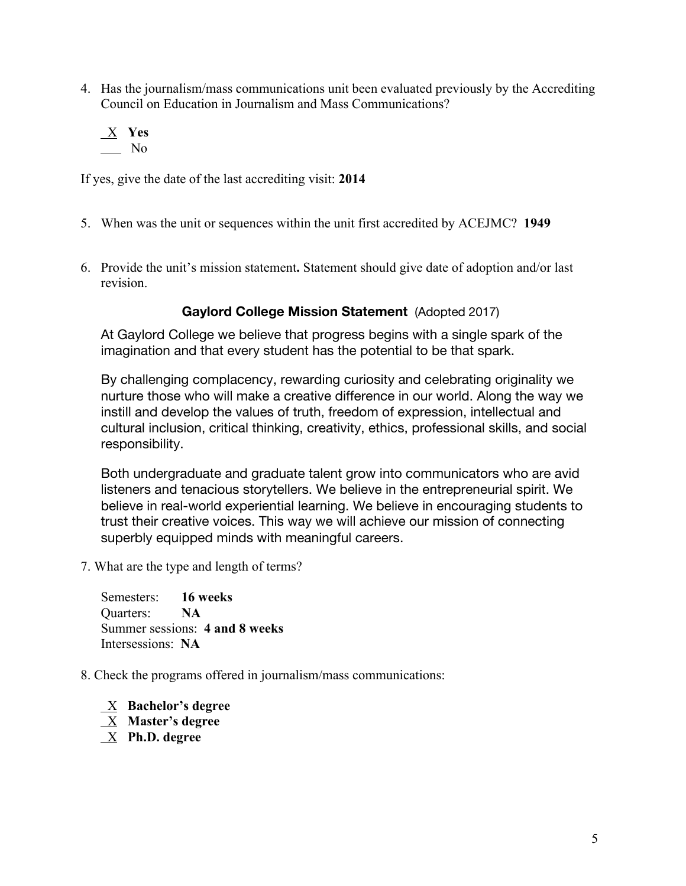- 4. Has the journalism/mass communications unit been evaluated previously by the Accrediting Council on Education in Journalism and Mass Communications?
	- X **Yes** No

If yes, give the date of the last accrediting visit: **2014**

- 5. When was the unit or sequences within the unit first accredited by ACEJMC? **1949**
- 6. Provide the unit's mission statement**.** Statement should give date of adoption and/or last revision.

# **Gaylord College Mission Statement** (Adopted 2017)

At Gaylord College we believe that progress begins with a single spark of the imagination and that every student has the potential to be that spark.

By challenging complacency, rewarding curiosity and celebrating originality we nurture those who will make a creative difference in our world. Along the way we instill and develop the values of truth, freedom of expression, intellectual and cultural inclusion, critical thinking, creativity, ethics, professional skills, and social responsibility.

Both undergraduate and graduate talent grow into communicators who are avid listeners and tenacious storytellers. We believe in the entrepreneurial spirit. We believe in real-world experiential learning. We believe in encouraging students to trust their creative voices. This way we will achieve our mission of connecting superbly equipped minds with meaningful careers.

7. What are the type and length of terms?

Semesters: **16 weeks** Quarters: **NA** Summer sessions: **4 and 8 weeks** Intersessions: **NA**

#### 8. Check the programs offered in journalism/mass communications:

 X **Bachelor's degree** X **Master's degree** X **Ph.D. degree**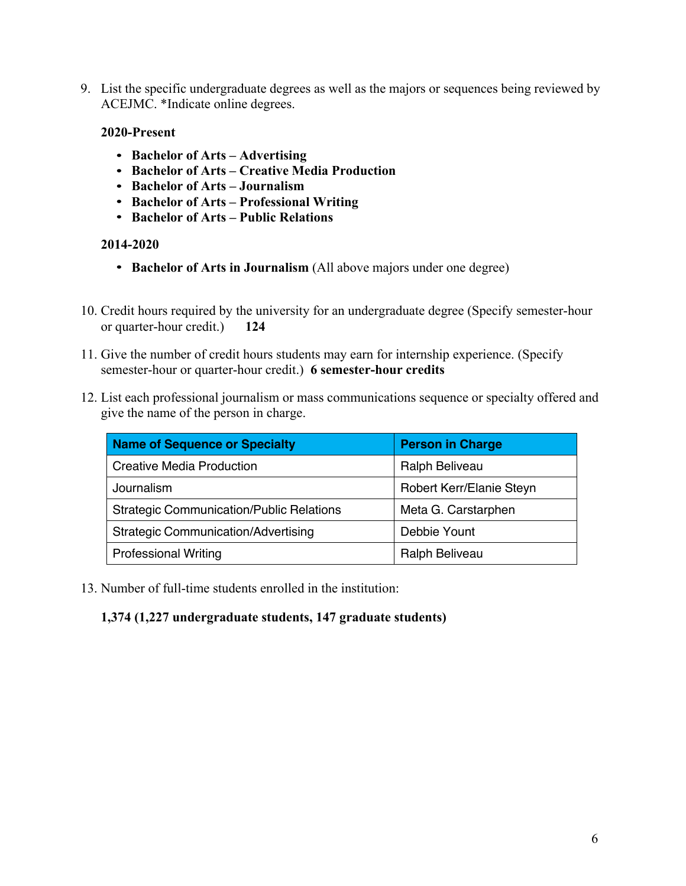9. List the specific undergraduate degrees as well as the majors or sequences being reviewed by ACEJMC. \*Indicate online degrees.

#### **2020-Present**

- **Bachelor of Arts – Advertising**
- **Bachelor of Arts – Creative Media Production**
- **Bachelor of Arts – Journalism**
- **Bachelor of Arts – Professional Writing**
- **Bachelor of Arts – Public Relations**

#### **2014-2020**

- **Bachelor of Arts in Journalism** (All above majors under one degree)
- 10. Credit hours required by the university for an undergraduate degree (Specify semester-hour or quarter-hour credit.) **124**
- 11. Give the number of credit hours students may earn for internship experience. (Specify semester-hour or quarter-hour credit.) **6 semester-hour credits**
- 12. List each professional journalism or mass communications sequence or specialty offered and give the name of the person in charge.

| <b>Name of Sequence or Specialty</b>            | <b>Person in Charge</b>  |
|-------------------------------------------------|--------------------------|
| <b>Creative Media Production</b>                | Ralph Beliveau           |
| Journalism                                      | Robert Kerr/Elanie Steyn |
| <b>Strategic Communication/Public Relations</b> | Meta G. Carstarphen      |
| <b>Strategic Communication/Advertising</b>      | Debbie Yount             |
| <b>Professional Writing</b>                     | Ralph Beliveau           |

13. Number of full-time students enrolled in the institution:

# **1,374 (1,227 undergraduate students, 147 graduate students)**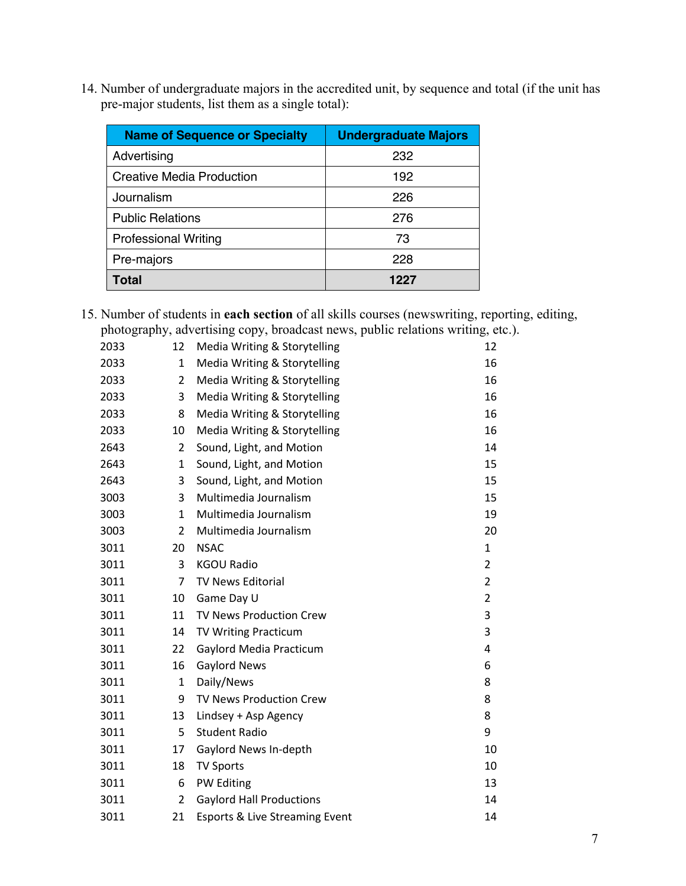14. Number of undergraduate majors in the accredited unit, by sequence and total (if the unit has pre-major students, list them as a single total):

| <b>Name of Sequence or Specialty</b> | <b>Undergraduate Majors</b> |
|--------------------------------------|-----------------------------|
| Advertising                          | 232                         |
| <b>Creative Media Production</b>     | 192                         |
| Journalism                           | 226                         |
| <b>Public Relations</b>              | 276                         |
| <b>Professional Writing</b>          | 73                          |
| Pre-majors                           | 228                         |
| Total                                | 1227                        |

15. Number of students in **each section** of all skills courses (newswriting, reporting, editing, photography, advertising copy, broadcast news, public relations writing, etc.).

| 2033 | 12             | Media Writing & Storytelling    | 12             |
|------|----------------|---------------------------------|----------------|
| 2033 | 1              | Media Writing & Storytelling    | 16             |
| 2033 | $\overline{2}$ | Media Writing & Storytelling    | 16             |
| 2033 | 3              | Media Writing & Storytelling    | 16             |
| 2033 | 8              | Media Writing & Storytelling    | 16             |
| 2033 | 10             | Media Writing & Storytelling    | 16             |
| 2643 | 2              | Sound, Light, and Motion        | 14             |
| 2643 | 1              | Sound, Light, and Motion        | 15             |
| 2643 | 3              | Sound, Light, and Motion        | 15             |
| 3003 | 3              | Multimedia Journalism           | 15             |
| 3003 | 1              | Multimedia Journalism           | 19             |
| 3003 | $\overline{2}$ | Multimedia Journalism           | 20             |
| 3011 | 20             | <b>NSAC</b>                     | 1              |
| 3011 | 3              | <b>KGOU Radio</b>               | $\overline{2}$ |
| 3011 | $\overline{7}$ | <b>TV News Editorial</b>        | $\overline{2}$ |
| 3011 | 10             | Game Day U                      | $\overline{2}$ |
| 3011 | 11             | TV News Production Crew         | 3              |
| 3011 | 14             | <b>TV Writing Practicum</b>     | 3              |
| 3011 | 22             | Gaylord Media Practicum         | 4              |
| 3011 | 16             | <b>Gaylord News</b>             | 6              |
| 3011 | 1              | Daily/News                      | 8              |
| 3011 | 9              | TV News Production Crew         | 8              |
| 3011 | 13             | Lindsey + Asp Agency            | 8              |
| 3011 | 5              | <b>Student Radio</b>            | 9              |
| 3011 | 17             | Gaylord News In-depth           | 10             |
| 3011 | 18             | <b>TV Sports</b>                | 10             |
| 3011 | 6              | PW Editing                      | 13             |
| 3011 | 2              | <b>Gaylord Hall Productions</b> | 14             |
| 3011 | 21             | Esports & Live Streaming Event  | 14             |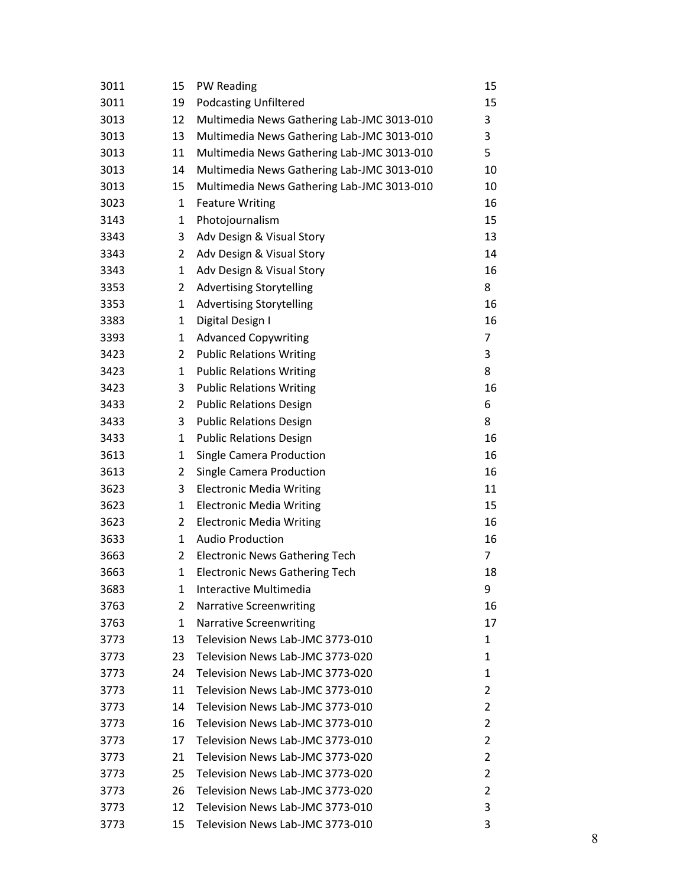| 3011 | 15             | PW Reading                                 | 15 |
|------|----------------|--------------------------------------------|----|
| 3011 | 19             | <b>Podcasting Unfiltered</b>               | 15 |
| 3013 | 12             | Multimedia News Gathering Lab-JMC 3013-010 | 3  |
| 3013 | 13             | Multimedia News Gathering Lab-JMC 3013-010 | 3  |
| 3013 | 11             | Multimedia News Gathering Lab-JMC 3013-010 | 5  |
| 3013 | 14             | Multimedia News Gathering Lab-JMC 3013-010 | 10 |
| 3013 | 15             | Multimedia News Gathering Lab-JMC 3013-010 | 10 |
| 3023 | $\mathbf 1$    | <b>Feature Writing</b>                     | 16 |
| 3143 | 1              | Photojournalism                            | 15 |
| 3343 | 3              | Adv Design & Visual Story                  | 13 |
| 3343 | 2              | Adv Design & Visual Story                  | 14 |
| 3343 | 1              | Adv Design & Visual Story                  | 16 |
| 3353 | 2              | <b>Advertising Storytelling</b>            | 8  |
| 3353 | 1              | <b>Advertising Storytelling</b>            | 16 |
| 3383 | 1              | Digital Design I                           | 16 |
| 3393 | 1              | <b>Advanced Copywriting</b>                | 7  |
| 3423 | 2              | <b>Public Relations Writing</b>            | 3  |
| 3423 | $\mathbf{1}$   | <b>Public Relations Writing</b>            | 8  |
| 3423 | 3              | <b>Public Relations Writing</b>            | 16 |
| 3433 | $\overline{2}$ | <b>Public Relations Design</b>             | 6  |
| 3433 | 3              | <b>Public Relations Design</b>             | 8  |
| 3433 | 1              | <b>Public Relations Design</b>             | 16 |
| 3613 | 1              | <b>Single Camera Production</b>            | 16 |
| 3613 | $\overline{2}$ | <b>Single Camera Production</b>            | 16 |
| 3623 | 3              | <b>Electronic Media Writing</b>            | 11 |
| 3623 | $\mathbf{1}$   | <b>Electronic Media Writing</b>            | 15 |
| 3623 | 2              | <b>Electronic Media Writing</b>            | 16 |
| 3633 | 1              | <b>Audio Production</b>                    | 16 |
| 3663 | 2              | <b>Electronic News Gathering Tech</b>      | 7  |
| 3663 | 1              | <b>Electronic News Gathering Tech</b>      | 18 |
| 3683 | 1              | Interactive Multimedia                     | 9  |
| 3763 | $\overline{2}$ | <b>Narrative Screenwriting</b>             | 16 |
| 3763 | 1              | <b>Narrative Screenwriting</b>             | 17 |
| 3773 | 13             | Television News Lab-JMC 3773-010           | 1  |
| 3773 | 23             | Television News Lab-JMC 3773-020           | 1  |
| 3773 | 24             | Television News Lab-JMC 3773-020           | 1  |
| 3773 | 11             | Television News Lab-JMC 3773-010           | 2  |
| 3773 | 14             | Television News Lab-JMC 3773-010           | 2  |
| 3773 | 16             | Television News Lab-JMC 3773-010           | 2  |
| 3773 | 17             | Television News Lab-JMC 3773-010           | 2  |
| 3773 | 21             | Television News Lab-JMC 3773-020           | 2  |
| 3773 | 25             | Television News Lab-JMC 3773-020           | 2  |
| 3773 | 26             | Television News Lab-JMC 3773-020           | 2  |
| 3773 | 12             | Television News Lab-JMC 3773-010           | 3  |
| 3773 | 15             | Television News Lab-JMC 3773-010           | 3  |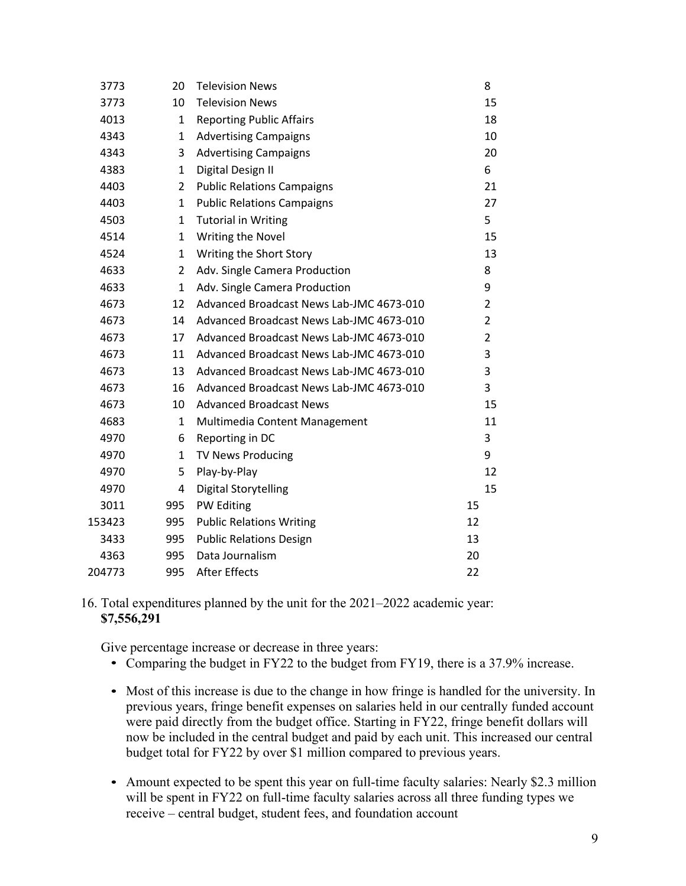| 3773   | 20             | <b>Television News</b>                   | 8              |
|--------|----------------|------------------------------------------|----------------|
| 3773   | 10             | <b>Television News</b>                   | 15             |
| 4013   | 1              | <b>Reporting Public Affairs</b>          | 18             |
| 4343   | 1              | <b>Advertising Campaigns</b>             | 10             |
| 4343   | 3              | <b>Advertising Campaigns</b>             | 20             |
| 4383   | 1              | Digital Design II                        | 6              |
| 4403   | $\overline{2}$ | <b>Public Relations Campaigns</b>        | 21             |
| 4403   | 1              | <b>Public Relations Campaigns</b>        | 27             |
| 4503   | 1              | <b>Tutorial in Writing</b>               | 5              |
| 4514   | $\mathbf{1}$   | Writing the Novel                        | 15             |
| 4524   | 1              | Writing the Short Story                  | 13             |
| 4633   | 2              | Adv. Single Camera Production            | 8              |
| 4633   | 1              | Adv. Single Camera Production            | 9              |
| 4673   | 12             | Advanced Broadcast News Lab-JMC 4673-010 | $\overline{2}$ |
| 4673   | 14             | Advanced Broadcast News Lab-JMC 4673-010 | $\overline{2}$ |
| 4673   | 17             | Advanced Broadcast News Lab-JMC 4673-010 | $\overline{2}$ |
| 4673   | 11             | Advanced Broadcast News Lab-JMC 4673-010 | 3              |
| 4673   | 13             | Advanced Broadcast News Lab-JMC 4673-010 | 3              |
| 4673   | 16             | Advanced Broadcast News Lab-JMC 4673-010 | 3              |
| 4673   | 10             | <b>Advanced Broadcast News</b>           | 15             |
| 4683   | 1              | Multimedia Content Management            | 11             |
| 4970   | 6              | Reporting in DC                          | 3              |
| 4970   | 1              | <b>TV News Producing</b>                 | 9              |
| 4970   | 5              | Play-by-Play                             | 12             |
| 4970   | 4              | Digital Storytelling                     | 15             |
| 3011   | 995            | PW Editing                               | 15             |
| 153423 | 995            | <b>Public Relations Writing</b>          | 12             |
| 3433   | 995            | <b>Public Relations Design</b>           | 13             |
| 4363   | 995            | Data Journalism                          | 20             |
| 204773 | 995            | <b>After Effects</b>                     | 22             |
|        |                |                                          |                |

#### 16. Total expenditures planned by the unit for the 2021–2022 academic year: **\$7,556,291**

Give percentage increase or decrease in three years:

- Comparing the budget in FY22 to the budget from FY19, there is a 37.9% increase.
- Most of this increase is due to the change in how fringe is handled for the university. In previous years, fringe benefit expenses on salaries held in our centrally funded account were paid directly from the budget office. Starting in FY22, fringe benefit dollars will now be included in the central budget and paid by each unit. This increased our central budget total for FY22 by over \$1 million compared to previous years.
- Amount expected to be spent this year on full-time faculty salaries: Nearly \$2.3 million will be spent in FY22 on full-time faculty salaries across all three funding types we receive – central budget, student fees, and foundation account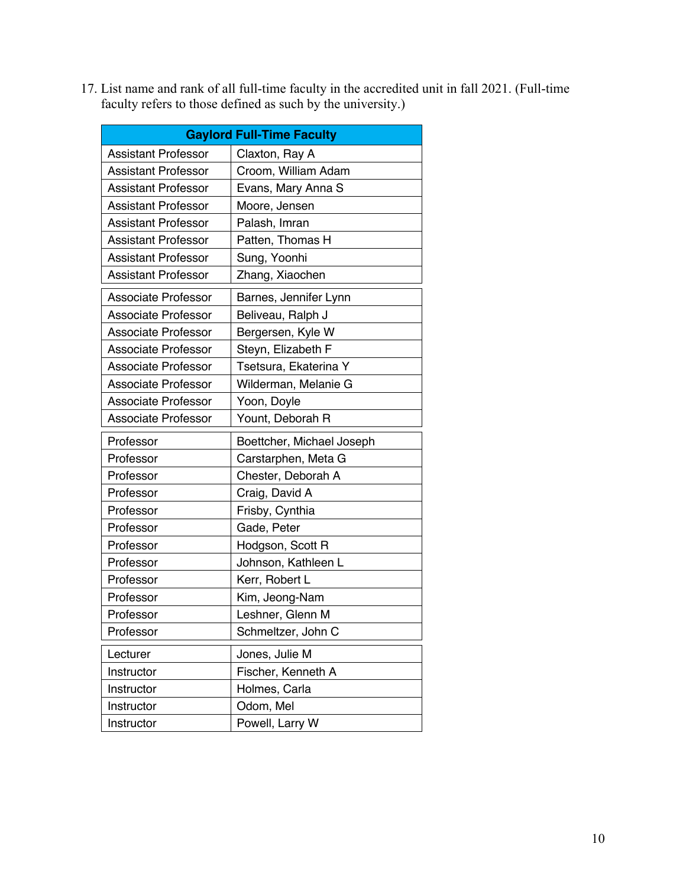|                            | <b>Gaylord Full-Time Faculty</b> |
|----------------------------|----------------------------------|
| <b>Assistant Professor</b> | Claxton, Ray A                   |
| <b>Assistant Professor</b> | Croom, William Adam              |
| <b>Assistant Professor</b> | Evans, Mary Anna S               |
| <b>Assistant Professor</b> | Moore, Jensen                    |
| <b>Assistant Professor</b> | Palash, Imran                    |
| <b>Assistant Professor</b> | Patten, Thomas H                 |
| <b>Assistant Professor</b> | Sung, Yoonhi                     |
| <b>Assistant Professor</b> | Zhang, Xiaochen                  |
| Associate Professor        | Barnes, Jennifer Lynn            |
| <b>Associate Professor</b> | Beliveau, Ralph J                |
| Associate Professor        | Bergersen, Kyle W                |
| Associate Professor        | Steyn, Elizabeth F               |
| <b>Associate Professor</b> | Tsetsura, Ekaterina Y            |
| Associate Professor        | Wilderman, Melanie G             |
| <b>Associate Professor</b> | Yoon, Doyle                      |
| <b>Associate Professor</b> | Yount, Deborah R                 |
| Professor                  | Boettcher, Michael Joseph        |
| Professor                  | Carstarphen, Meta G              |
| Professor                  | Chester, Deborah A               |
| Professor                  | Craig, David A                   |
| Professor                  | Frisby, Cynthia                  |
| Professor                  | Gade, Peter                      |
| Professor                  | Hodgson, Scott R                 |
| Professor                  | Johnson, Kathleen L              |
| Professor                  | Kerr, Robert L                   |
| Professor                  | Kim, Jeong-Nam                   |
| Professor                  | Leshner, Glenn M                 |
| Professor                  | Schmeltzer, John C               |
| Lecturer                   | Jones, Julie M                   |
| Instructor                 | Fischer, Kenneth A               |
| Instructor                 | Holmes, Carla                    |
| Instructor                 | Odom, Mel                        |
| Instructor                 | Powell, Larry W                  |

17. List name and rank of all full-time faculty in the accredited unit in fall 2021. (Full-time faculty refers to those defined as such by the university.)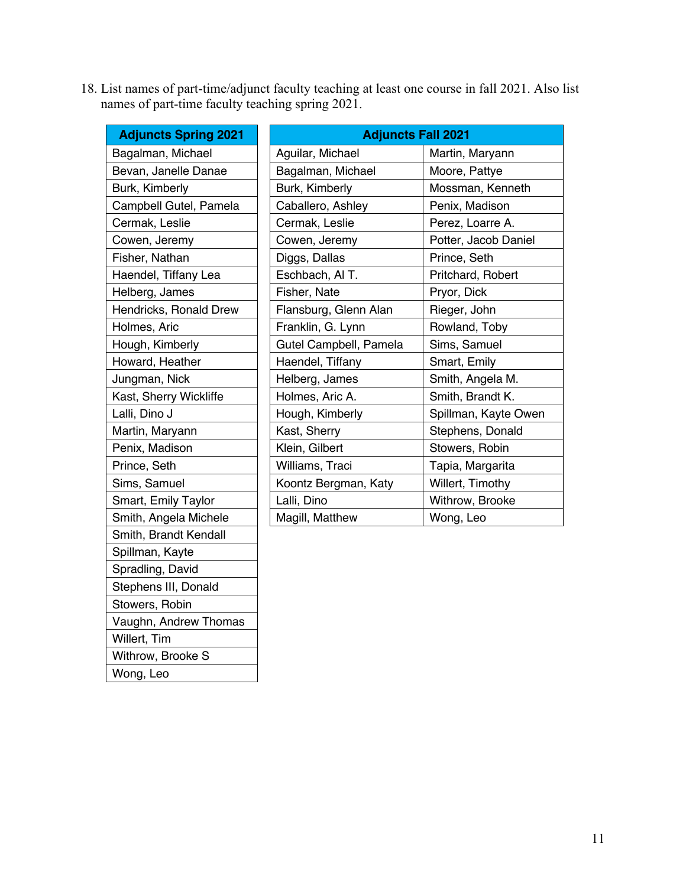18. List names of part-time/adjunct faculty teaching at least one course in fall 2021. Also list names of part-time faculty teaching spring 2021.

| <b>Adjuncts Spring 2021</b> | <b>Adjuncts Fall 2021</b> |                      |  |  |
|-----------------------------|---------------------------|----------------------|--|--|
| Bagalman, Michael           | Aguilar, Michael          | Martin, Maryann      |  |  |
| Bevan, Janelle Danae        | Bagalman, Michael         | Moore, Pattye        |  |  |
| Burk, Kimberly              | Burk, Kimberly            | Mossman, Kenneth     |  |  |
| Campbell Gutel, Pamela      | Caballero, Ashley         | Penix, Madison       |  |  |
| Cermak, Leslie              | Cermak, Leslie            | Perez, Loarre A.     |  |  |
| Cowen, Jeremy               | Cowen, Jeremy             | Potter, Jacob Daniel |  |  |
| Fisher, Nathan              | Diggs, Dallas             | Prince, Seth         |  |  |
| Haendel, Tiffany Lea        | Eschbach, Al T.           | Pritchard, Robert    |  |  |
| Helberg, James              | Fisher, Nate              | Pryor, Dick          |  |  |
| Hendricks, Ronald Drew      | Flansburg, Glenn Alan     | Rieger, John         |  |  |
| Holmes, Aric                | Franklin, G. Lynn         | Rowland, Toby        |  |  |
| Hough, Kimberly             | Gutel Campbell, Pamela    | Sims, Samuel         |  |  |
| Howard, Heather             | Haendel, Tiffany          | Smart, Emily         |  |  |
| Jungman, Nick               | Helberg, James            | Smith, Angela M.     |  |  |
| Kast, Sherry Wickliffe      | Holmes, Aric A.           | Smith, Brandt K.     |  |  |
| Lalli, Dino J               | Hough, Kimberly           | Spillman, Kayte Owen |  |  |
| Martin, Maryann             | Kast, Sherry              | Stephens, Donald     |  |  |
| Penix, Madison              | Klein, Gilbert            | Stowers, Robin       |  |  |
| Prince, Seth                | Williams, Traci           | Tapia, Margarita     |  |  |
| Sims, Samuel                | Koontz Bergman, Katy      | Willert, Timothy     |  |  |
| Smart, Emily Taylor         | Lalli, Dino               | Withrow, Brooke      |  |  |
| Smith, Angela Michele       | Magill, Matthew           | Wong, Leo            |  |  |
| Smith, Brandt Kendall       |                           |                      |  |  |
| Spillman, Kayte             |                           |                      |  |  |
| Spradling, David            |                           |                      |  |  |
| Stephens III, Donald        |                           |                      |  |  |

Stowers, Robin

Withrow, Brooke S

Willert, Tim

Wong, Leo

Vaughn, Andrew Thomas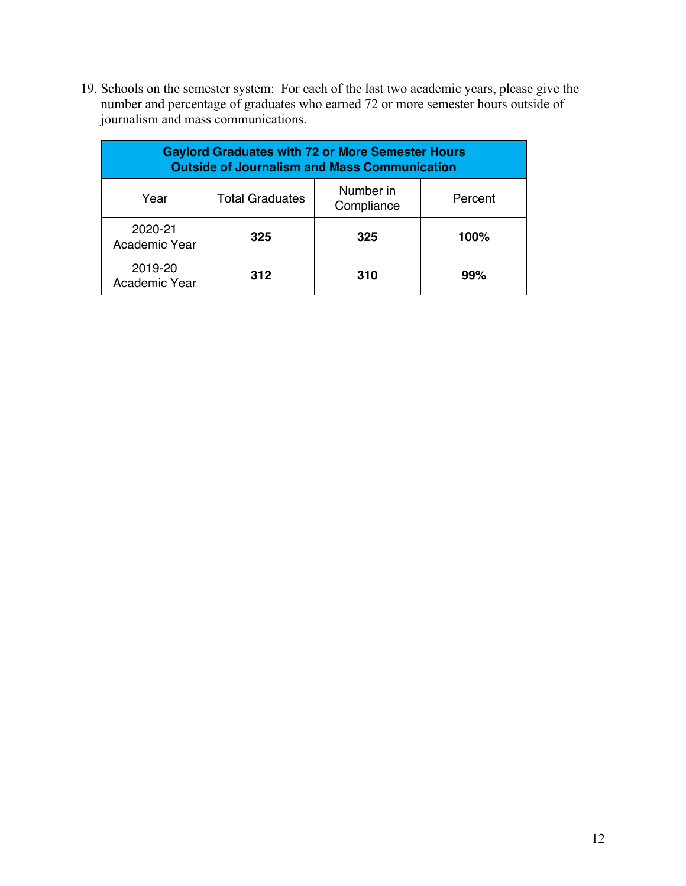19. Schools on the semester system: For each of the last two academic years, please give the number and percentage of graduates who earned 72 or more semester hours outside of journalism and mass communications.

| <b>Gaylord Graduates with 72 or More Semester Hours</b><br><b>Outside of Journalism and Mass Communication</b> |                        |                         |         |  |  |  |
|----------------------------------------------------------------------------------------------------------------|------------------------|-------------------------|---------|--|--|--|
| Year                                                                                                           | <b>Total Graduates</b> | Number in<br>Compliance | Percent |  |  |  |
| 2020-21<br>Academic Year                                                                                       | 325                    | 325                     | 100%    |  |  |  |
| 2019-20<br>Academic Year                                                                                       | 312                    | 310                     | 99%     |  |  |  |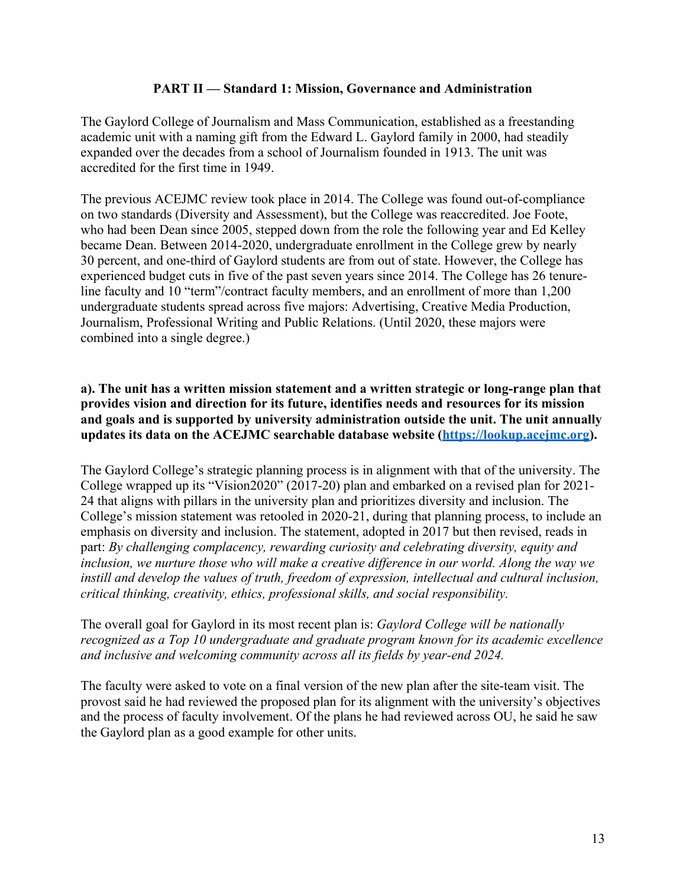# **PART II — Standard 1: Mission, Governance and Administration**

The Gaylord College of Journalism and Mass Communication, established as a freestanding academic unit with a naming gift from the Edward L. Gaylord family in 2000, had steadily expanded over the decades from a school of Journalism founded in 1913. The unit was accredited for the first time in 1949.

The previous ACEJMC review took place in 2014. The College was found out-of-compliance on two standards (Diversity and Assessment), but the College was reaccredited. Joe Foote, who had been Dean since 2005, stepped down from the role the following year and Ed Kelley became Dean. Between 2014-2020, undergraduate enrollment in the College grew by nearly 30 percent, and one-third of Gaylord students are from out of state. However, the College has experienced budget cuts in five of the past seven years since 2014. The College has 26 tenureline faculty and 10 "term"/contract faculty members, and an enrollment of more than 1,200 undergraduate students spread across five majors: Advertising, Creative Media Production, Journalism, Professional Writing and Public Relations. (Until 2020, these majors were combined into a single degree.)

#### **a). The unit has a written mission statement and a written strategic or long-range plan that provides vision and direction for its future, identifies needs and resources for its mission and goals and is supported by university administration outside the unit. The unit annually updates its data on the ACEJMC searchable database website (https://lookup.acejmc.org).**

The Gaylord College's strategic planning process is in alignment with that of the university. The College wrapped up its "Vision2020" (2017-20) plan and embarked on a revised plan for 2021- 24 that aligns with pillars in the university plan and prioritizes diversity and inclusion. The College's mission statement was retooled in 2020-21, during that planning process, to include an emphasis on diversity and inclusion. The statement, adopted in 2017 but then revised, reads in part: *By challenging complacency, rewarding curiosity and celebrating diversity, equity and inclusion, we nurture those who will make a creative difference in our world. Along the way we instill and develop the values of truth, freedom of expression, intellectual and cultural inclusion, critical thinking, creativity, ethics, professional skills, and social responsibility.*

The overall goal for Gaylord in its most recent plan is: *Gaylord College will be nationally recognized as a Top 10 undergraduate and graduate program known for its academic excellence and inclusive and welcoming community across all its fields by year-end 2024.*

The faculty were asked to vote on a final version of the new plan after the site-team visit. The provost said he had reviewed the proposed plan for its alignment with the university's objectives and the process of faculty involvement. Of the plans he had reviewed across OU, he said he saw the Gaylord plan as a good example for other units.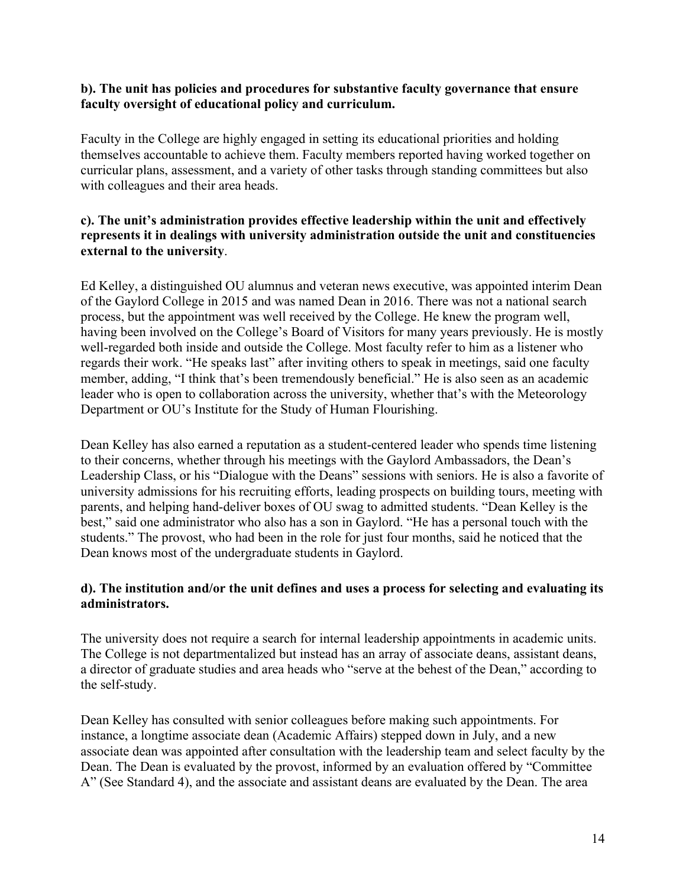#### **b). The unit has policies and procedures for substantive faculty governance that ensure faculty oversight of educational policy and curriculum.**

Faculty in the College are highly engaged in setting its educational priorities and holding themselves accountable to achieve them. Faculty members reported having worked together on curricular plans, assessment, and a variety of other tasks through standing committees but also with colleagues and their area heads.

#### **c). The unit's administration provides effective leadership within the unit and effectively represents it in dealings with university administration outside the unit and constituencies external to the university**.

Ed Kelley, a distinguished OU alumnus and veteran news executive, was appointed interim Dean of the Gaylord College in 2015 and was named Dean in 2016. There was not a national search process, but the appointment was well received by the College. He knew the program well, having been involved on the College's Board of Visitors for many years previously. He is mostly well-regarded both inside and outside the College. Most faculty refer to him as a listener who regards their work. "He speaks last" after inviting others to speak in meetings, said one faculty member, adding, "I think that's been tremendously beneficial." He is also seen as an academic leader who is open to collaboration across the university, whether that's with the Meteorology Department or OU's Institute for the Study of Human Flourishing.

Dean Kelley has also earned a reputation as a student-centered leader who spends time listening to their concerns, whether through his meetings with the Gaylord Ambassadors, the Dean's Leadership Class, or his "Dialogue with the Deans" sessions with seniors. He is also a favorite of university admissions for his recruiting efforts, leading prospects on building tours, meeting with parents, and helping hand-deliver boxes of OU swag to admitted students. "Dean Kelley is the best," said one administrator who also has a son in Gaylord. "He has a personal touch with the students." The provost, who had been in the role for just four months, said he noticed that the Dean knows most of the undergraduate students in Gaylord.

# **d). The institution and/or the unit defines and uses a process for selecting and evaluating its administrators.**

The university does not require a search for internal leadership appointments in academic units. The College is not departmentalized but instead has an array of associate deans, assistant deans, a director of graduate studies and area heads who "serve at the behest of the Dean," according to the self-study.

Dean Kelley has consulted with senior colleagues before making such appointments. For instance, a longtime associate dean (Academic Affairs) stepped down in July, and a new associate dean was appointed after consultation with the leadership team and select faculty by the Dean. The Dean is evaluated by the provost, informed by an evaluation offered by "Committee A" (See Standard 4), and the associate and assistant deans are evaluated by the Dean. The area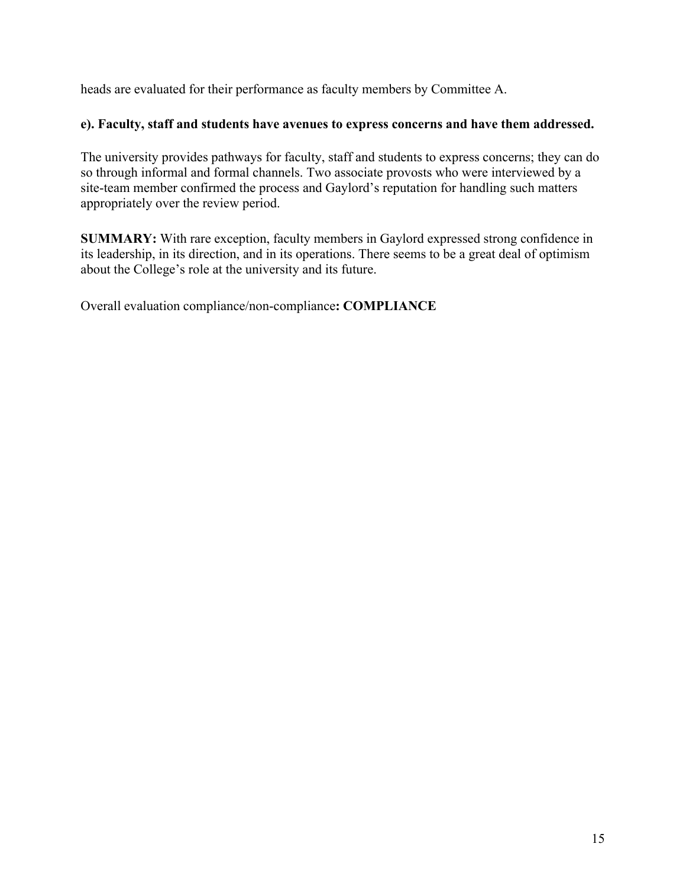heads are evaluated for their performance as faculty members by Committee A.

# **e). Faculty, staff and students have avenues to express concerns and have them addressed.**

The university provides pathways for faculty, staff and students to express concerns; they can do so through informal and formal channels. Two associate provosts who were interviewed by a site-team member confirmed the process and Gaylord's reputation for handling such matters appropriately over the review period.

**SUMMARY:** With rare exception, faculty members in Gaylord expressed strong confidence in its leadership, in its direction, and in its operations. There seems to be a great deal of optimism about the College's role at the university and its future.

Overall evaluation compliance/non-compliance**: COMPLIANCE**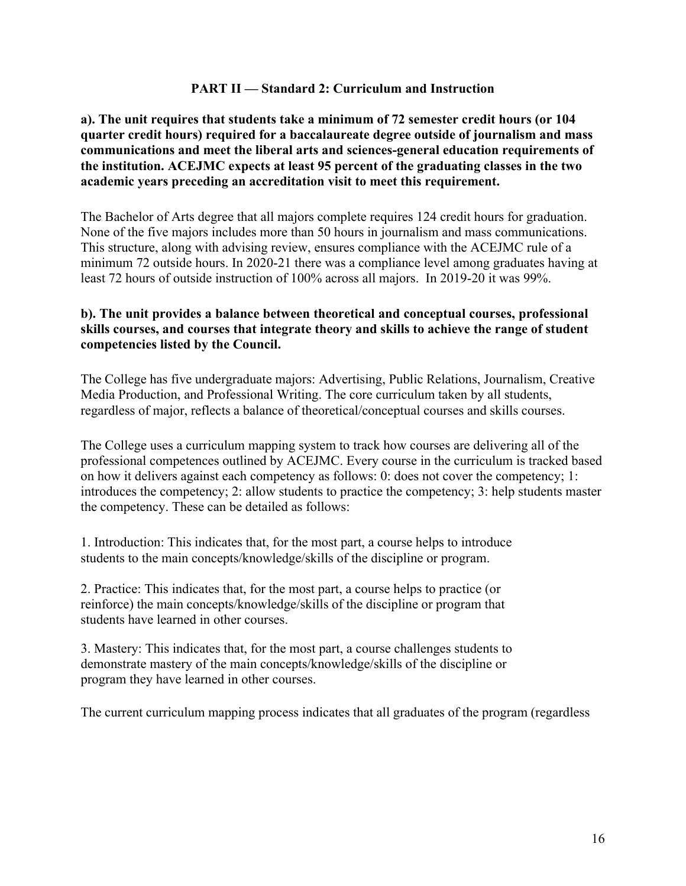#### **PART II — Standard 2: Curriculum and Instruction**

**a). The unit requires that students take a minimum of 72 semester credit hours (or 104 quarter credit hours) required for a baccalaureate degree outside of journalism and mass communications and meet the liberal arts and sciences-general education requirements of the institution. ACEJMC expects at least 95 percent of the graduating classes in the two academic years preceding an accreditation visit to meet this requirement.**

The Bachelor of Arts degree that all majors complete requires 124 credit hours for graduation. None of the five majors includes more than 50 hours in journalism and mass communications. This structure, along with advising review, ensures compliance with the ACEJMC rule of a minimum 72 outside hours. In 2020-21 there was a compliance level among graduates having at least 72 hours of outside instruction of 100% across all majors. In 2019-20 it was 99%.

# **b). The unit provides a balance between theoretical and conceptual courses, professional skills courses, and courses that integrate theory and skills to achieve the range of student competencies listed by the Council.**

The College has five undergraduate majors: Advertising, Public Relations, Journalism, Creative Media Production, and Professional Writing. The core curriculum taken by all students, regardless of major, reflects a balance of theoretical/conceptual courses and skills courses.

The College uses a curriculum mapping system to track how courses are delivering all of the professional competences outlined by ACEJMC. Every course in the curriculum is tracked based on how it delivers against each competency as follows: 0: does not cover the competency; 1: introduces the competency; 2: allow students to practice the competency; 3: help students master the competency. These can be detailed as follows:

1. Introduction: This indicates that, for the most part, a course helps to introduce students to the main concepts/knowledge/skills of the discipline or program.

2. Practice: This indicates that, for the most part, a course helps to practice (or reinforce) the main concepts/knowledge/skills of the discipline or program that students have learned in other courses.

3. Mastery: This indicates that, for the most part, a course challenges students to demonstrate mastery of the main concepts/knowledge/skills of the discipline or program they have learned in other courses.

The current curriculum mapping process indicates that all graduates of the program (regardless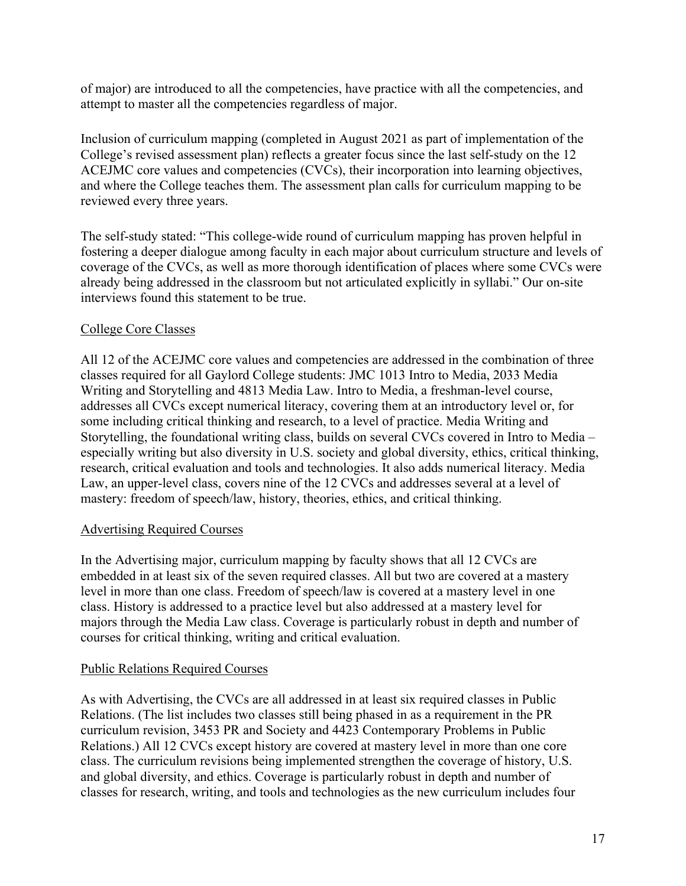of major) are introduced to all the competencies, have practice with all the competencies, and attempt to master all the competencies regardless of major.

Inclusion of curriculum mapping (completed in August 2021 as part of implementation of the College's revised assessment plan) reflects a greater focus since the last self-study on the 12 ACEJMC core values and competencies (CVCs), their incorporation into learning objectives, and where the College teaches them. The assessment plan calls for curriculum mapping to be reviewed every three years.

The self-study stated: "This college-wide round of curriculum mapping has proven helpful in fostering a deeper dialogue among faculty in each major about curriculum structure and levels of coverage of the CVCs, as well as more thorough identification of places where some CVCs were already being addressed in the classroom but not articulated explicitly in syllabi." Our on-site interviews found this statement to be true.

# College Core Classes

All 12 of the ACEJMC core values and competencies are addressed in the combination of three classes required for all Gaylord College students: JMC 1013 Intro to Media, 2033 Media Writing and Storytelling and 4813 Media Law. Intro to Media, a freshman-level course, addresses all CVCs except numerical literacy, covering them at an introductory level or, for some including critical thinking and research, to a level of practice. Media Writing and Storytelling, the foundational writing class, builds on several CVCs covered in Intro to Media – especially writing but also diversity in U.S. society and global diversity, ethics, critical thinking, research, critical evaluation and tools and technologies. It also adds numerical literacy. Media Law, an upper-level class, covers nine of the 12 CVCs and addresses several at a level of mastery: freedom of speech/law, history, theories, ethics, and critical thinking.

# Advertising Required Courses

In the Advertising major, curriculum mapping by faculty shows that all 12 CVCs are embedded in at least six of the seven required classes. All but two are covered at a mastery level in more than one class. Freedom of speech/law is covered at a mastery level in one class. History is addressed to a practice level but also addressed at a mastery level for majors through the Media Law class. Coverage is particularly robust in depth and number of courses for critical thinking, writing and critical evaluation.

# Public Relations Required Courses

As with Advertising, the CVCs are all addressed in at least six required classes in Public Relations. (The list includes two classes still being phased in as a requirement in the PR curriculum revision, 3453 PR and Society and 4423 Contemporary Problems in Public Relations.) All 12 CVCs except history are covered at mastery level in more than one core class. The curriculum revisions being implemented strengthen the coverage of history, U.S. and global diversity, and ethics. Coverage is particularly robust in depth and number of classes for research, writing, and tools and technologies as the new curriculum includes four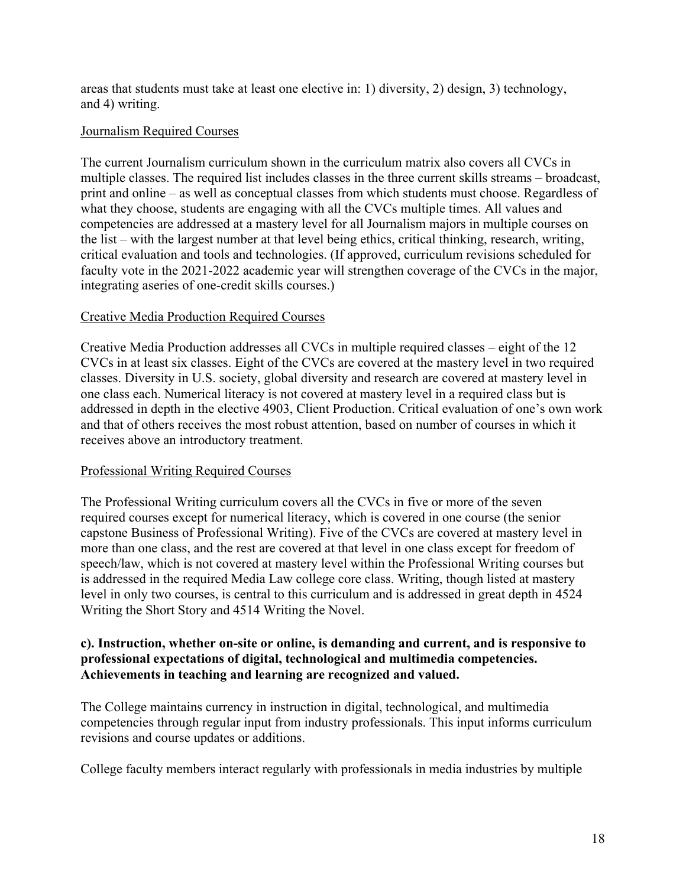areas that students must take at least one elective in: 1) diversity, 2) design, 3) technology, and 4) writing.

#### Journalism Required Courses

The current Journalism curriculum shown in the curriculum matrix also covers all CVCs in multiple classes. The required list includes classes in the three current skills streams – broadcast, print and online – as well as conceptual classes from which students must choose. Regardless of what they choose, students are engaging with all the CVCs multiple times. All values and competencies are addressed at a mastery level for all Journalism majors in multiple courses on the list – with the largest number at that level being ethics, critical thinking, research, writing, critical evaluation and tools and technologies. (If approved, curriculum revisions scheduled for faculty vote in the 2021-2022 academic year will strengthen coverage of the CVCs in the major, integrating aseries of one-credit skills courses.)

#### Creative Media Production Required Courses

Creative Media Production addresses all CVCs in multiple required classes – eight of the 12 CVCs in at least six classes. Eight of the CVCs are covered at the mastery level in two required classes. Diversity in U.S. society, global diversity and research are covered at mastery level in one class each. Numerical literacy is not covered at mastery level in a required class but is addressed in depth in the elective 4903, Client Production. Critical evaluation of one's own work and that of others receives the most robust attention, based on number of courses in which it receives above an introductory treatment.

# Professional Writing Required Courses

The Professional Writing curriculum covers all the CVCs in five or more of the seven required courses except for numerical literacy, which is covered in one course (the senior capstone Business of Professional Writing). Five of the CVCs are covered at mastery level in more than one class, and the rest are covered at that level in one class except for freedom of speech/law, which is not covered at mastery level within the Professional Writing courses but is addressed in the required Media Law college core class. Writing, though listed at mastery level in only two courses, is central to this curriculum and is addressed in great depth in 4524 Writing the Short Story and 4514 Writing the Novel.

#### **c). Instruction, whether on-site or online, is demanding and current, and is responsive to professional expectations of digital, technological and multimedia competencies. Achievements in teaching and learning are recognized and valued.**

The College maintains currency in instruction in digital, technological, and multimedia competencies through regular input from industry professionals. This input informs curriculum revisions and course updates or additions.

College faculty members interact regularly with professionals in media industries by multiple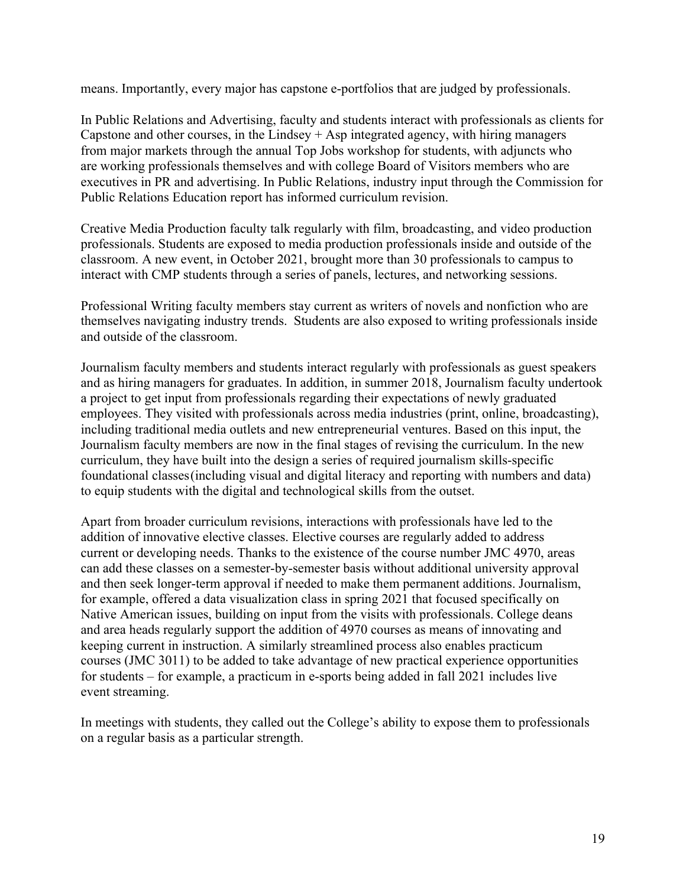means. Importantly, every major has capstone e-portfolios that are judged by professionals.

In Public Relations and Advertising, faculty and students interact with professionals as clients for Capstone and other courses, in the Lindsey  $+$  Asp integrated agency, with hiring managers from major markets through the annual Top Jobs workshop for students, with adjuncts who are working professionals themselves and with college Board of Visitors members who are executives in PR and advertising. In Public Relations, industry input through the Commission for Public Relations Education report has informed curriculum revision.

Creative Media Production faculty talk regularly with film, broadcasting, and video production professionals. Students are exposed to media production professionals inside and outside of the classroom. A new event, in October 2021, brought more than 30 professionals to campus to interact with CMP students through a series of panels, lectures, and networking sessions.

Professional Writing faculty members stay current as writers of novels and nonfiction who are themselves navigating industry trends. Students are also exposed to writing professionals inside and outside of the classroom.

Journalism faculty members and students interact regularly with professionals as guest speakers and as hiring managers for graduates. In addition, in summer 2018, Journalism faculty undertook a project to get input from professionals regarding their expectations of newly graduated employees. They visited with professionals across media industries (print, online, broadcasting), including traditional media outlets and new entrepreneurial ventures. Based on this input, the Journalism faculty members are now in the final stages of revising the curriculum. In the new curriculum, they have built into the design a series of required journalism skills-specific foundational classes (including visual and digital literacy and reporting with numbers and data) to equip students with the digital and technological skills from the outset.

Apart from broader curriculum revisions, interactions with professionals have led to the addition of innovative elective classes. Elective courses are regularly added to address current or developing needs. Thanks to the existence of the course number JMC 4970, areas can add these classes on a semester-by-semester basis without additional university approval and then seek longer-term approval if needed to make them permanent additions. Journalism, for example, offered a data visualization class in spring 2021 that focused specifically on Native American issues, building on input from the visits with professionals. College deans and area heads regularly support the addition of 4970 courses as means of innovating and keeping current in instruction. A similarly streamlined process also enables practicum courses (JMC 3011) to be added to take advantage of new practical experience opportunities for students – for example, a practicum in e-sports being added in fall 2021 includes live event streaming.

In meetings with students, they called out the College's ability to expose them to professionals on a regular basis as a particular strength.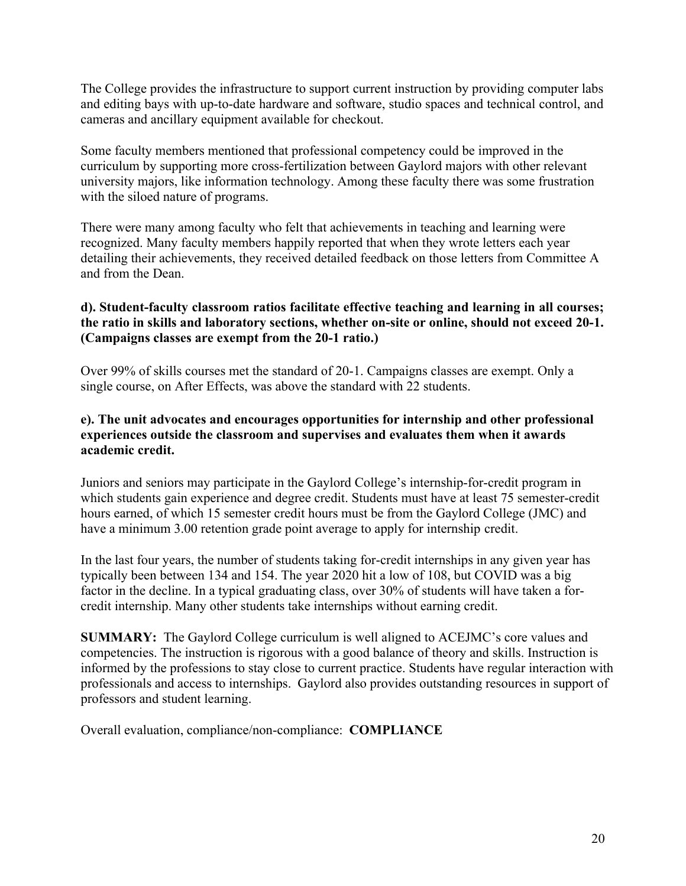The College provides the infrastructure to support current instruction by providing computer labs and editing bays with up-to-date hardware and software, studio spaces and technical control, and cameras and ancillary equipment available for checkout.

Some faculty members mentioned that professional competency could be improved in the curriculum by supporting more cross-fertilization between Gaylord majors with other relevant university majors, like information technology. Among these faculty there was some frustration with the siloed nature of programs.

There were many among faculty who felt that achievements in teaching and learning were recognized. Many faculty members happily reported that when they wrote letters each year detailing their achievements, they received detailed feedback on those letters from Committee A and from the Dean.

# **d). Student-faculty classroom ratios facilitate effective teaching and learning in all courses; the ratio in skills and laboratory sections, whether on-site or online, should not exceed 20-1. (Campaigns classes are exempt from the 20-1 ratio.)**

Over 99% of skills courses met the standard of 20-1. Campaigns classes are exempt. Only a single course, on After Effects, was above the standard with 22 students.

# **e). The unit advocates and encourages opportunities for internship and other professional experiences outside the classroom and supervises and evaluates them when it awards academic credit.**

Juniors and seniors may participate in the Gaylord College's internship-for-credit program in which students gain experience and degree credit. Students must have at least 75 semester-credit hours earned, of which 15 semester credit hours must be from the Gaylord College (JMC) and have a minimum 3.00 retention grade point average to apply for internship credit.

In the last four years, the number of students taking for-credit internships in any given year has typically been between 134 and 154. The year 2020 hit a low of 108, but COVID was a big factor in the decline. In a typical graduating class, over 30% of students will have taken a forcredit internship. Many other students take internships without earning credit.

**SUMMARY:** The Gaylord College curriculum is well aligned to ACEJMC's core values and competencies. The instruction is rigorous with a good balance of theory and skills. Instruction is informed by the professions to stay close to current practice. Students have regular interaction with professionals and access to internships. Gaylord also provides outstanding resources in support of professors and student learning.

Overall evaluation, compliance/non-compliance: **COMPLIANCE**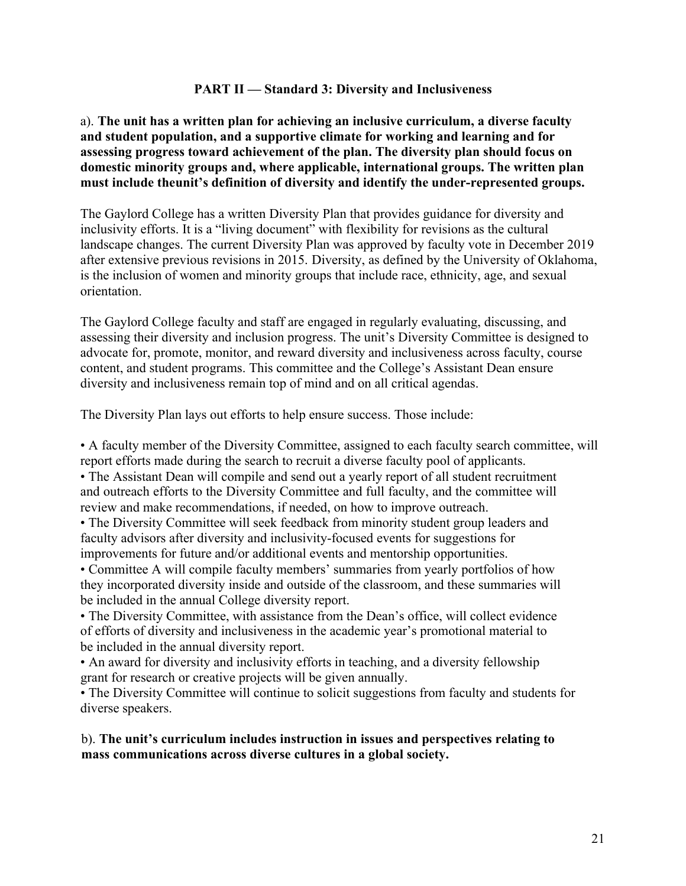#### **PART II — Standard 3: Diversity and Inclusiveness**

a). **The unit has a written plan for achieving an inclusive curriculum, a diverse faculty and student population, and a supportive climate for working and learning and for assessing progress toward achievement of the plan. The diversity plan should focus on domestic minority groups and, where applicable, international groups. The written plan must include theunit's definition of diversity and identify the under-represented groups.**

The Gaylord College has a written Diversity Plan that provides guidance for diversity and inclusivity efforts. It is a "living document" with flexibility for revisions as the cultural landscape changes. The current Diversity Plan was approved by faculty vote in December 2019 after extensive previous revisions in 2015. Diversity, as defined by the University of Oklahoma, is the inclusion of women and minority groups that include race, ethnicity, age, and sexual orientation.

The Gaylord College faculty and staff are engaged in regularly evaluating, discussing, and assessing their diversity and inclusion progress. The unit's Diversity Committee is designed to advocate for, promote, monitor, and reward diversity and inclusiveness across faculty, course content, and student programs. This committee and the College's Assistant Dean ensure diversity and inclusiveness remain top of mind and on all critical agendas.

The Diversity Plan lays out efforts to help ensure success. Those include:

• A faculty member of the Diversity Committee, assigned to each faculty search committee, will report efforts made during the search to recruit a diverse faculty pool of applicants.

• The Assistant Dean will compile and send out a yearly report of all student recruitment and outreach efforts to the Diversity Committee and full faculty, and the committee will review and make recommendations, if needed, on how to improve outreach.

• The Diversity Committee will seek feedback from minority student group leaders and faculty advisors after diversity and inclusivity-focused events for suggestions for improvements for future and/or additional events and mentorship opportunities.

• Committee A will compile faculty members' summaries from yearly portfolios of how they incorporated diversity inside and outside of the classroom, and these summaries will be included in the annual College diversity report.

• The Diversity Committee, with assistance from the Dean's office, will collect evidence of efforts of diversity and inclusiveness in the academic year's promotional material to be included in the annual diversity report.

• An award for diversity and inclusivity efforts in teaching, and a diversity fellowship grant for research or creative projects will be given annually.

• The Diversity Committee will continue to solicit suggestions from faculty and students for diverse speakers.

b). **The unit's curriculum includes instruction in issues and perspectives relating to mass communications across diverse cultures in a global society.**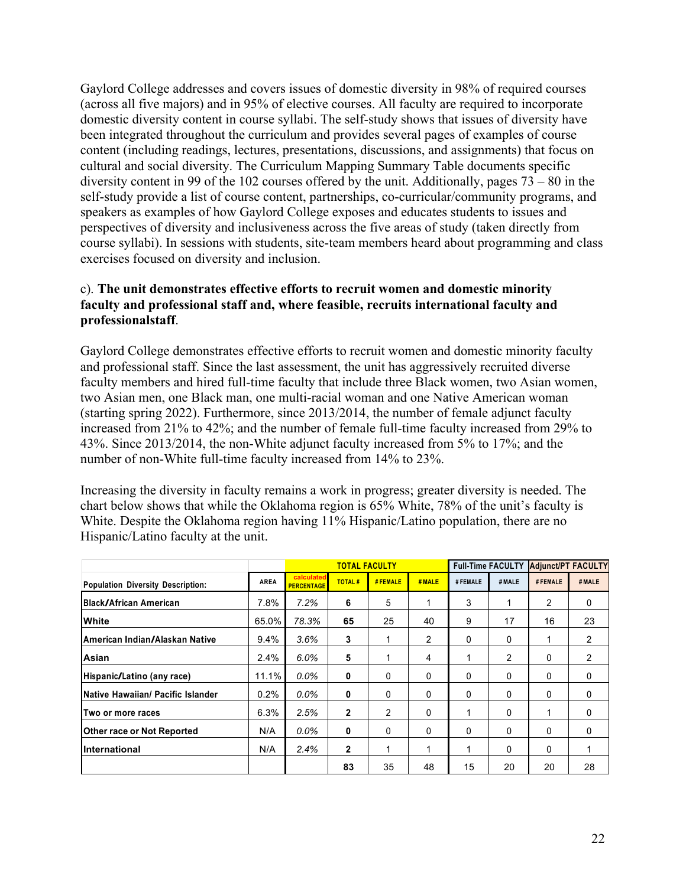Gaylord College addresses and covers issues of domestic diversity in 98% of required courses (across all five majors) and in 95% of elective courses. All faculty are required to incorporate domestic diversity content in course syllabi. The self-study shows that issues of diversity have been integrated throughout the curriculum and provides several pages of examples of course content (including readings, lectures, presentations, discussions, and assignments) that focus on cultural and social diversity. The Curriculum Mapping Summary Table documents specific diversity content in 99 of the 102 courses offered by the unit. Additionally, pages 73 – 80 in the self-study provide a list of course content, partnerships, co-curricular/community programs, and speakers as examples of how Gaylord College exposes and educates students to issues and perspectives of diversity and inclusiveness across the five areas of study (taken directly from course syllabi). In sessions with students, site-team members heard about programming and class exercises focused on diversity and inclusion.

# c). **The unit demonstrates effective efforts to recruit women and domestic minority faculty and professional staff and, where feasible, recruits international faculty and professionalstaff**.

Gaylord College demonstrates effective efforts to recruit women and domestic minority faculty and professional staff. Since the last assessment, the unit has aggressively recruited diverse faculty members and hired full-time faculty that include three Black women, two Asian women, two Asian men, one Black man, one multi-racial woman and one Native American woman (starting spring 2022). Furthermore, since 2013/2014, the number of female adjunct faculty increased from 21% to 42%; and the number of female full-time faculty increased from 29% to 43%. Since 2013/2014, the non-White adjunct faculty increased from 5% to 17%; and the number of non-White full-time faculty increased from 14% to 23%.

Increasing the diversity in faculty remains a work in progress; greater diversity is needed. The chart below shows that while the Oklahoma region is 65% White, 78% of the unit's faculty is White. Despite the Oklahoma region having 11% Hispanic/Latino population, there are no Hispanic/Latino faculty at the unit.

|                                          |             |                                 | <b>TOTAL FACULTY</b> |              |                |              | <b>Full-Time FACULTY</b> |          | <b>Adjunct/PT FACULTY</b> |
|------------------------------------------|-------------|---------------------------------|----------------------|--------------|----------------|--------------|--------------------------|----------|---------------------------|
| <b>Population Diversity Description:</b> | <b>AREA</b> | calculated<br><b>PERCENTAGE</b> | <b>TOTAL#</b>        | #FEMALE      | #MALE          | # FEMALE     | #MALE                    | # FEMALE | #MALE                     |
| <b>IBlack/African American</b>           | 7.8%        | 7.2%                            | 6                    | 5            |                | 3            |                          | 2        | 0                         |
| White                                    | 65.0%       | 78.3%                           | 65                   | 25           | 40             | 9            | 17                       | 16       | 23                        |
| IAmerican Indian/Alaskan Native          | 9.4%        | 3.6%                            | 3                    |              | $\overline{2}$ | $\mathbf{0}$ | 0                        |          | 2                         |
| <b>Asian</b>                             | 2.4%        | 6.0%                            | 5                    |              | 4              |              | 2                        | 0        | 2                         |
| Hispanic/Latino (any race)               | 11.1%       | $0.0\%$                         | 0                    | 0            | 0              | $\mathbf{0}$ | 0                        | 0        | $\mathbf{0}$              |
| <b>Native Hawaiian/ Pacific Islander</b> | 0.2%        | $0.0\%$                         | 0                    | $\mathbf{0}$ | 0              | $\mathbf{0}$ | 0                        | 0        | $\mathbf{0}$              |
| Two or more races                        | 6.3%        | 2.5%                            | $\mathbf{2}$         | 2            | 0              |              | 0                        |          | $\mathbf{0}$              |
| <b>Other race or Not Reported</b>        | N/A         | $0.0\%$                         | 0                    | 0            | 0              | $\mathbf{0}$ | 0                        | 0        | $\mathbf{0}$              |
| International                            | N/A         | 2.4%                            | $\overline{2}$       |              | 1              | 1            | 0                        | 0        | 1                         |
|                                          |             |                                 | 83                   | 35           | 48             | 15           | 20                       | 20       | 28                        |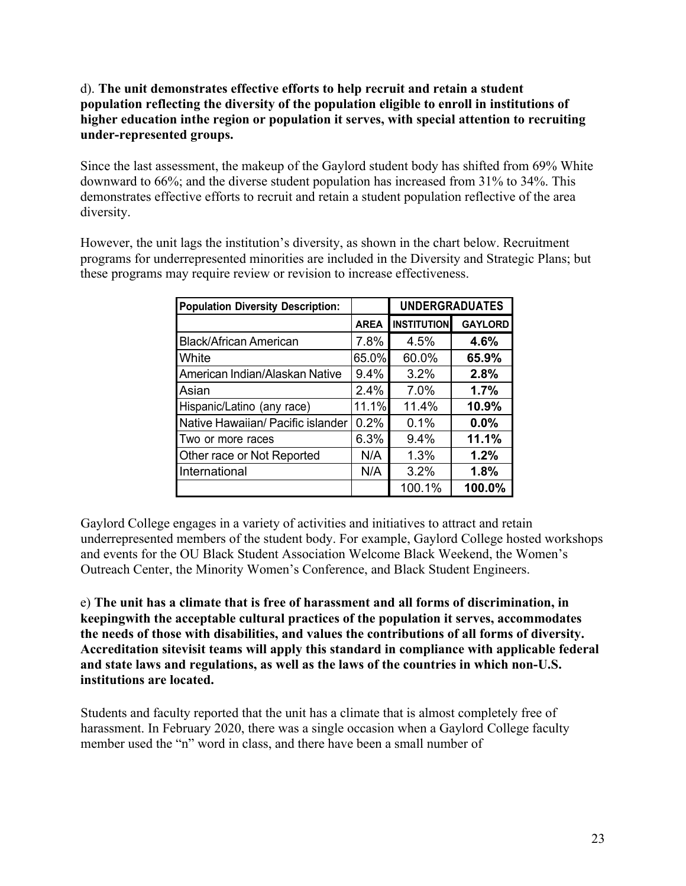# d). **The unit demonstrates effective efforts to help recruit and retain a student population reflecting the diversity of the population eligible to enroll in institutions of higher education inthe region or population it serves, with special attention to recruiting under-represented groups.**

Since the last assessment, the makeup of the Gaylord student body has shifted from 69% White downward to 66%; and the diverse student population has increased from 31% to 34%. This demonstrates effective efforts to recruit and retain a student population reflective of the area diversity.

However, the unit lags the institution's diversity, as shown in the chart below. Recruitment programs for underrepresented minorities are included in the Diversity and Strategic Plans; but these programs may require review or revision to increase effectiveness.

| <b>Population Diversity Description:</b> |             | <b>UNDERGRADUATES</b> |                |  |  |
|------------------------------------------|-------------|-----------------------|----------------|--|--|
|                                          | <b>AREA</b> | <b>INSTITUTION</b>    | <b>GAYLORD</b> |  |  |
| <b>Black/African American</b>            | 7.8%        | 4.5%                  | 4.6%           |  |  |
| White                                    | 65.0%       | 60.0%                 | 65.9%          |  |  |
| American Indian/Alaskan Native           | 9.4%        | 3.2%                  | 2.8%           |  |  |
| Asian                                    | 2.4%        | 7.0%                  | 1.7%           |  |  |
| Hispanic/Latino (any race)               | 11.1%       | 11.4%                 | 10.9%          |  |  |
| Native Hawaiian/ Pacific islander        | 0.2%        | 0.1%                  | 0.0%           |  |  |
| Two or more races                        | 6.3%        | 9.4%                  | 11.1%          |  |  |
| Other race or Not Reported               | N/A         | 1.3%                  | 1.2%           |  |  |
| International                            | N/A         | 3.2%                  | 1.8%           |  |  |
|                                          |             | 100.1%                | 100.0%         |  |  |

Gaylord College engages in a variety of activities and initiatives to attract and retain underrepresented members of the student body. For example, Gaylord College hosted workshops and events for the OU Black Student Association Welcome Black Weekend, the Women's Outreach Center, the Minority Women's Conference, and Black Student Engineers.

e) **The unit has a climate that is free of harassment and all forms of discrimination, in keepingwith the acceptable cultural practices of the population it serves, accommodates the needs of those with disabilities, and values the contributions of all forms of diversity. Accreditation sitevisit teams will apply this standard in compliance with applicable federal and state laws and regulations, as well as the laws of the countries in which non-U.S. institutions are located.**

Students and faculty reported that the unit has a climate that is almost completely free of harassment. In February 2020, there was a single occasion when a Gaylord College faculty member used the "n" word in class, and there have been a small number of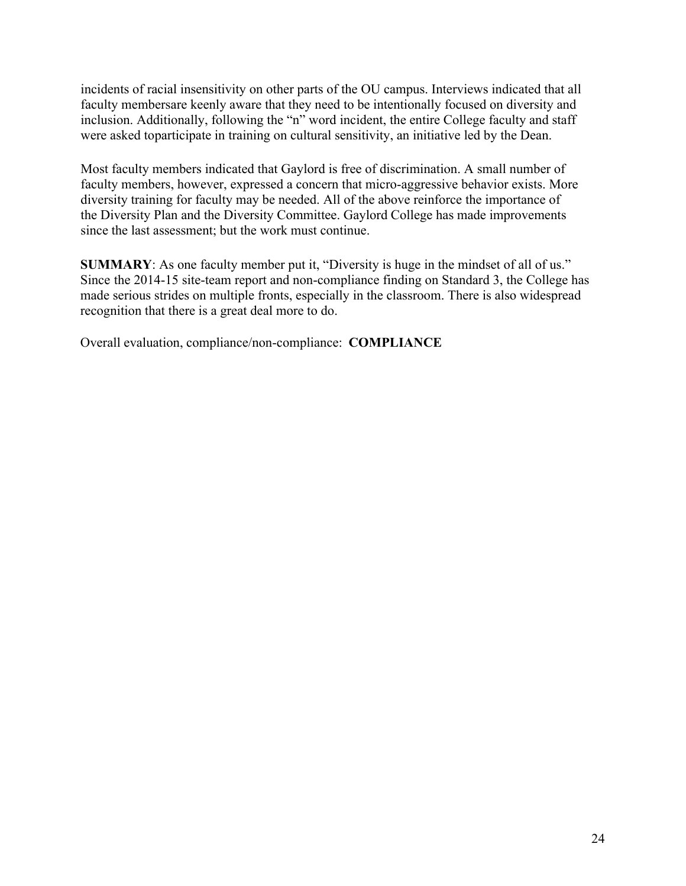incidents of racial insensitivity on other parts of the OU campus. Interviews indicated that all faculty membersare keenly aware that they need to be intentionally focused on diversity and inclusion. Additionally, following the "n" word incident, the entire College faculty and staff were asked toparticipate in training on cultural sensitivity, an initiative led by the Dean.

Most faculty members indicated that Gaylord is free of discrimination. A small number of faculty members, however, expressed a concern that micro-aggressive behavior exists. More diversity training for faculty may be needed. All of the above reinforce the importance of the Diversity Plan and the Diversity Committee. Gaylord College has made improvements since the last assessment; but the work must continue.

**SUMMARY**: As one faculty member put it, "Diversity is huge in the mindset of all of us." Since the 2014-15 site-team report and non-compliance finding on Standard 3, the College has made serious strides on multiple fronts, especially in the classroom. There is also widespread recognition that there is a great deal more to do.

Overall evaluation, compliance/non-compliance: **COMPLIANCE**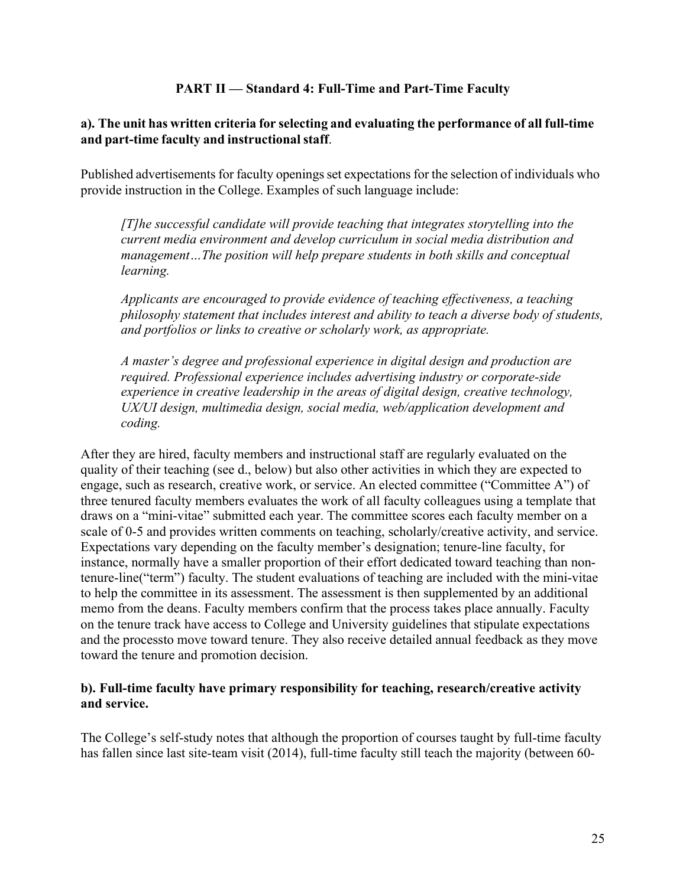#### **PART II — Standard 4: Full-Time and Part-Time Faculty**

# **a). The unit has written criteria for selecting and evaluating the performance of all full-time and part-time faculty and instructional staff**.

Published advertisements for faculty openings set expectations for the selection of individuals who provide instruction in the College. Examples of such language include:

*[T]he successful candidate will provide teaching that integrates storytelling into the current media environment and develop curriculum in social media distribution and management…The position will help prepare students in both skills and conceptual learning.*

*Applicants are encouraged to provide evidence of teaching effectiveness, a teaching philosophy statement that includes interest and ability to teach a diverse body of students, and portfolios or links to creative or scholarly work, as appropriate.*

*A master's degree and professional experience in digital design and production are required. Professional experience includes advertising industry or corporate-side experience in creative leadership in the areas of digital design, creative technology, UX/UI design, multimedia design, social media, web/application development and coding.*

After they are hired, faculty members and instructional staff are regularly evaluated on the quality of their teaching (see d., below) but also other activities in which they are expected to engage, such as research, creative work, or service. An elected committee ("Committee A") of three tenured faculty members evaluates the work of all faculty colleagues using a template that draws on a "mini-vitae" submitted each year. The committee scores each faculty member on a scale of 0-5 and provides written comments on teaching, scholarly/creative activity, and service. Expectations vary depending on the faculty member's designation; tenure-line faculty, for instance, normally have a smaller proportion of their effort dedicated toward teaching than nontenure-line("term") faculty. The student evaluations of teaching are included with the mini-vitae to help the committee in its assessment. The assessment is then supplemented by an additional memo from the deans. Faculty members confirm that the process takes place annually. Faculty on the tenure track have access to College and University guidelines that stipulate expectations and the processto move toward tenure. They also receive detailed annual feedback as they move toward the tenure and promotion decision.

#### **b). Full-time faculty have primary responsibility for teaching, research/creative activity and service.**

The College's self-study notes that although the proportion of courses taught by full-time faculty has fallen since last site-team visit (2014), full-time faculty still teach the majority (between 60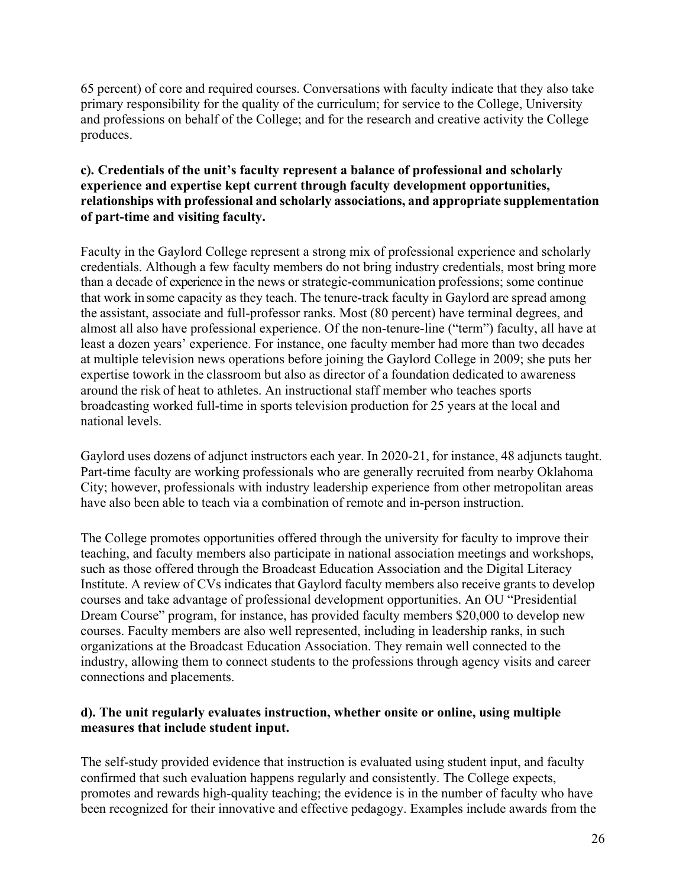65 percent) of core and required courses. Conversations with faculty indicate that they also take primary responsibility for the quality of the curriculum; for service to the College, University and professions on behalf of the College; and for the research and creative activity the College produces.

# **c). Credentials of the unit's faculty represent a balance of professional and scholarly experience and expertise kept current through faculty development opportunities, relationships with professional and scholarly associations, and appropriate supplementation of part-time and visiting faculty.**

Faculty in the Gaylord College represent a strong mix of professional experience and scholarly credentials. Although a few faculty members do not bring industry credentials, most bring more than a decade of experience in the news or strategic-communication professions; some continue that work in some capacity as they teach. The tenure-track faculty in Gaylord are spread among the assistant, associate and full-professor ranks. Most (80 percent) have terminal degrees, and almost all also have professional experience. Of the non-tenure-line ("term") faculty, all have at least a dozen years' experience. For instance, one faculty member had more than two decades at multiple television news operations before joining the Gaylord College in 2009; she puts her expertise towork in the classroom but also as director of a foundation dedicated to awareness around the risk of heat to athletes. An instructional staff member who teaches sports broadcasting worked full-time in sports television production for 25 years at the local and national levels.

Gaylord uses dozens of adjunct instructors each year. In 2020-21, for instance, 48 adjuncts taught. Part-time faculty are working professionals who are generally recruited from nearby Oklahoma City; however, professionals with industry leadership experience from other metropolitan areas have also been able to teach via a combination of remote and in-person instruction.

The College promotes opportunities offered through the university for faculty to improve their teaching, and faculty members also participate in national association meetings and workshops, such as those offered through the Broadcast Education Association and the Digital Literacy Institute. A review of CVs indicates that Gaylord faculty members also receive grants to develop courses and take advantage of professional development opportunities. An OU "Presidential Dream Course" program, for instance, has provided faculty members \$20,000 to develop new courses. Faculty members are also well represented, including in leadership ranks, in such organizations at the Broadcast Education Association. They remain well connected to the industry, allowing them to connect students to the professions through agency visits and career connections and placements.

# **d). The unit regularly evaluates instruction, whether onsite or online, using multiple measures that include student input.**

The self-study provided evidence that instruction is evaluated using student input, and faculty confirmed that such evaluation happens regularly and consistently. The College expects, promotes and rewards high-quality teaching; the evidence is in the number of faculty who have been recognized for their innovative and effective pedagogy. Examples include awards from the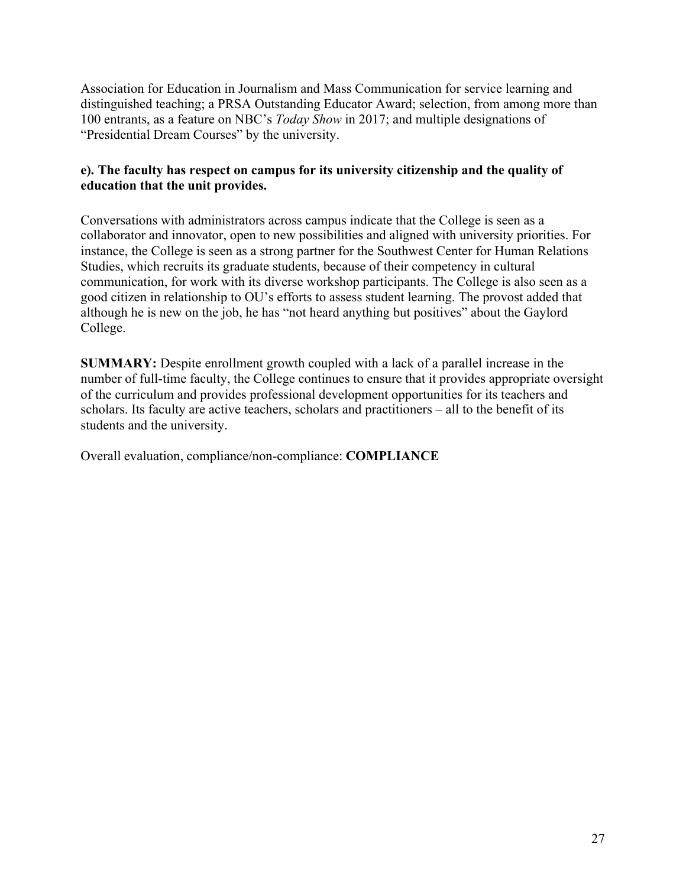Association for Education in Journalism and Mass Communication for service learning and distinguished teaching; a PRSA Outstanding Educator Award; selection, from among more than 100 entrants, as a feature on NBC's *Today Show* in 2017; and multiple designations of "Presidential Dream Courses" by the university.

# **e). The faculty has respect on campus for its university citizenship and the quality of education that the unit provides.**

Conversations with administrators across campus indicate that the College is seen as a collaborator and innovator, open to new possibilities and aligned with university priorities. For instance, the College is seen as a strong partner for the Southwest Center for Human Relations Studies, which recruits its graduate students, because of their competency in cultural communication, for work with its diverse workshop participants. The College is also seen as a good citizen in relationship to OU's efforts to assess student learning. The provost added that although he is new on the job, he has "not heard anything but positives" about the Gaylord College.

**SUMMARY:** Despite enrollment growth coupled with a lack of a parallel increase in the number of full-time faculty, the College continues to ensure that it provides appropriate oversight of the curriculum and provides professional development opportunities for its teachers and scholars. Its faculty are active teachers, scholars and practitioners – all to the benefit of its students and the university.

Overall evaluation, compliance/non-compliance: **COMPLIANCE**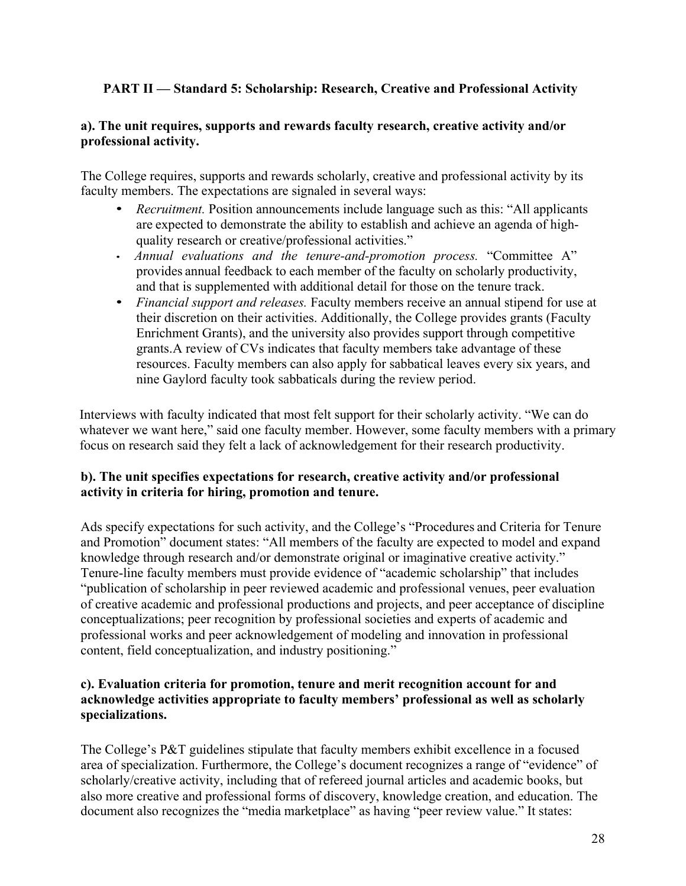# **PART II — Standard 5: Scholarship: Research, Creative and Professional Activity**

# **a). The unit requires, supports and rewards faculty research, creative activity and/or professional activity.**

The College requires, supports and rewards scholarly, creative and professional activity by its faculty members. The expectations are signaled in several ways:

- *Recruitment.* Position announcements include language such as this: "All applicants are expected to demonstrate the ability to establish and achieve an agenda of highquality research or creative/professional activities."
- • *Annual evaluations and the tenure-and-promotion process.* "Committee A" provides annual feedback to each member of the faculty on scholarly productivity, and that is supplemented with additional detail for those on the tenure track.
- *Financial support and releases.* Faculty members receive an annual stipend for use at their discretion on their activities. Additionally, the College provides grants (Faculty Enrichment Grants), and the university also provides support through competitive grants.A review of CVs indicates that faculty members take advantage of these resources. Faculty members can also apply for sabbatical leaves every six years, and nine Gaylord faculty took sabbaticals during the review period.

Interviews with faculty indicated that most felt support for their scholarly activity. "We can do whatever we want here," said one faculty member. However, some faculty members with a primary focus on research said they felt a lack of acknowledgement for their research productivity.

# **b). The unit specifies expectations for research, creative activity and/or professional activity in criteria for hiring, promotion and tenure.**

Ads specify expectations for such activity, and the College's "Procedures and Criteria for Tenure and Promotion" document states: "All members of the faculty are expected to model and expand knowledge through research and/or demonstrate original or imaginative creative activity." Tenure-line faculty members must provide evidence of "academic scholarship" that includes "publication of scholarship in peer reviewed academic and professional venues, peer evaluation of creative academic and professional productions and projects, and peer acceptance of discipline conceptualizations; peer recognition by professional societies and experts of academic and professional works and peer acknowledgement of modeling and innovation in professional content, field conceptualization, and industry positioning."

#### **c). Evaluation criteria for promotion, tenure and merit recognition account for and acknowledge activities appropriate to faculty members' professional as well as scholarly specializations.**

The College's P&T guidelines stipulate that faculty members exhibit excellence in a focused area of specialization. Furthermore, the College's document recognizes a range of "evidence" of scholarly/creative activity, including that of refereed journal articles and academic books, but also more creative and professional forms of discovery, knowledge creation, and education. The document also recognizes the "media marketplace" as having "peer review value." It states: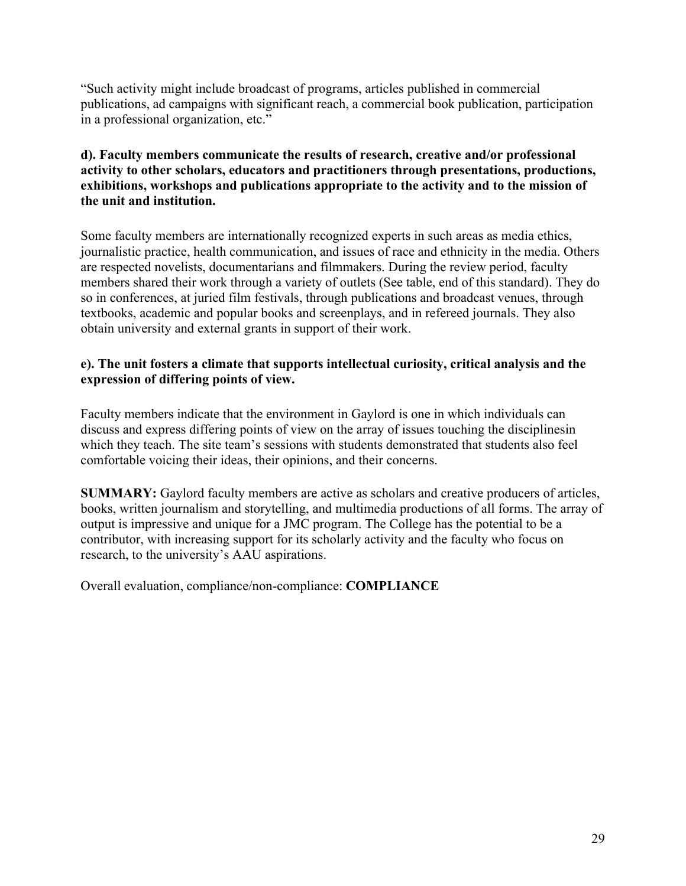"Such activity might include broadcast of programs, articles published in commercial publications, ad campaigns with significant reach, a commercial book publication, participation in a professional organization, etc."

# **d). Faculty members communicate the results of research, creative and/or professional activity to other scholars, educators and practitioners through presentations, productions, exhibitions, workshops and publications appropriate to the activity and to the mission of the unit and institution.**

Some faculty members are internationally recognized experts in such areas as media ethics, journalistic practice, health communication, and issues of race and ethnicity in the media. Others are respected novelists, documentarians and filmmakers. During the review period, faculty members shared their work through a variety of outlets (See table, end of this standard). They do so in conferences, at juried film festivals, through publications and broadcast venues, through textbooks, academic and popular books and screenplays, and in refereed journals. They also obtain university and external grants in support of their work.

#### **e). The unit fosters a climate that supports intellectual curiosity, critical analysis and the expression of differing points of view.**

Faculty members indicate that the environment in Gaylord is one in which individuals can discuss and express differing points of view on the array of issues touching the disciplinesin which they teach. The site team's sessions with students demonstrated that students also feel comfortable voicing their ideas, their opinions, and their concerns.

**SUMMARY:** Gaylord faculty members are active as scholars and creative producers of articles, books, written journalism and storytelling, and multimedia productions of all forms. The array of output is impressive and unique for a JMC program. The College has the potential to be a contributor, with increasing support for its scholarly activity and the faculty who focus on research, to the university's AAU aspirations.

Overall evaluation, compliance/non-compliance: **COMPLIANCE**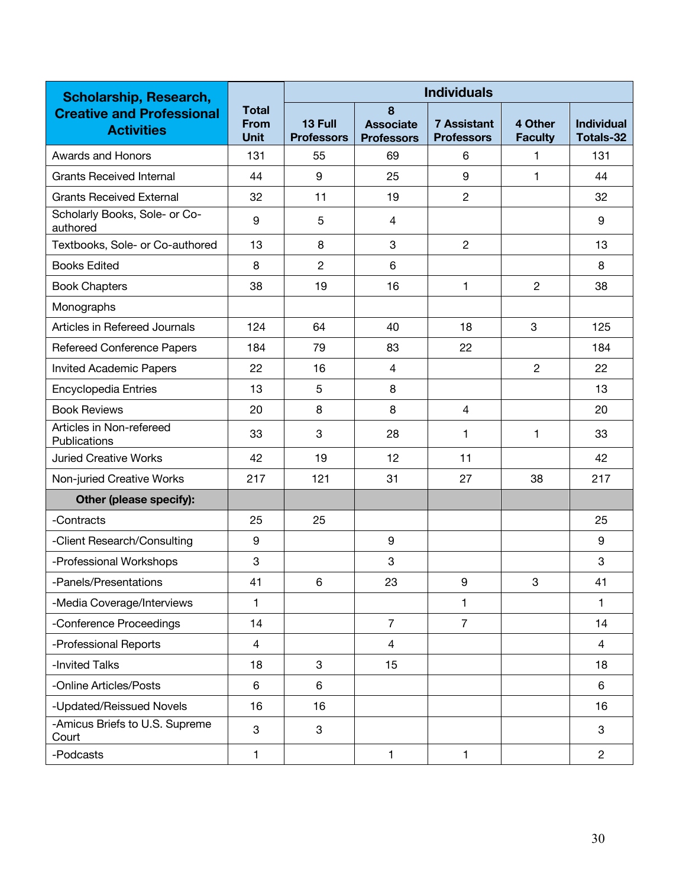| <b>Scholarship, Research,</b>                         | <b>Individuals</b>                         |                              |                                            |                                         |                           |                                       |  |
|-------------------------------------------------------|--------------------------------------------|------------------------------|--------------------------------------------|-----------------------------------------|---------------------------|---------------------------------------|--|
| <b>Creative and Professional</b><br><b>Activities</b> | <b>Total</b><br><b>From</b><br><b>Unit</b> | 13 Full<br><b>Professors</b> | 8<br><b>Associate</b><br><b>Professors</b> | <b>7 Assistant</b><br><b>Professors</b> | 4 Other<br><b>Faculty</b> | <b>Individual</b><br><b>Totals-32</b> |  |
| Awards and Honors                                     | 131                                        | 55                           | 69                                         | 6                                       | 1                         | 131                                   |  |
| <b>Grants Received Internal</b>                       | 44                                         | 9                            | 25                                         | 9                                       | 1                         | 44                                    |  |
| <b>Grants Received External</b>                       | 32                                         | 11                           | 19                                         | $\overline{2}$                          |                           | 32                                    |  |
| Scholarly Books, Sole- or Co-<br>authored             | 9                                          | 5                            | $\overline{4}$                             |                                         |                           | 9                                     |  |
| Textbooks, Sole- or Co-authored                       | 13                                         | 8                            | 3                                          | $\overline{2}$                          |                           | 13                                    |  |
| <b>Books Edited</b>                                   | 8                                          | $\overline{2}$               | 6                                          |                                         |                           | 8                                     |  |
| <b>Book Chapters</b>                                  | 38                                         | 19                           | 16                                         | $\mathbf{1}$                            | $\overline{2}$            | 38                                    |  |
| Monographs                                            |                                            |                              |                                            |                                         |                           |                                       |  |
| Articles in Refereed Journals                         | 124                                        | 64                           | 40                                         | 18                                      | 3                         | 125                                   |  |
| <b>Refereed Conference Papers</b>                     | 184                                        | 79                           | 83                                         | 22                                      |                           | 184                                   |  |
| <b>Invited Academic Papers</b>                        | 22                                         | 16                           | $\overline{4}$                             |                                         | $\overline{2}$            | 22                                    |  |
| <b>Encyclopedia Entries</b>                           | 13                                         | 5                            | 8                                          |                                         |                           | 13                                    |  |
| <b>Book Reviews</b>                                   | 20                                         | 8                            | 8                                          | $\overline{4}$                          |                           | 20                                    |  |
| Articles in Non-refereed<br>Publications              | 33                                         | 3                            | 28                                         | $\mathbf{1}$                            | 1                         | 33                                    |  |
| <b>Juried Creative Works</b>                          | 42                                         | 19                           | 12                                         | 11                                      |                           | 42                                    |  |
| Non-juried Creative Works                             | 217                                        | 121                          | 31                                         | 27                                      | 38                        | 217                                   |  |
| Other (please specify):                               |                                            |                              |                                            |                                         |                           |                                       |  |
| -Contracts                                            | 25                                         | 25                           |                                            |                                         |                           | 25                                    |  |
| -Client Research/Consulting                           | 9                                          |                              | 9                                          |                                         |                           | 9                                     |  |
| -Professional Workshops                               | 3                                          |                              | 3                                          |                                         |                           | 3                                     |  |
| -Panels/Presentations                                 | 41                                         | 6                            | 23                                         | $\boldsymbol{9}$                        | 3                         | 41                                    |  |
| -Media Coverage/Interviews                            | 1                                          |                              |                                            | 1                                       |                           | $\mathbf{1}$                          |  |
| -Conference Proceedings                               | 14                                         |                              | $\overline{7}$                             | $\overline{7}$                          |                           | 14                                    |  |
| -Professional Reports                                 | $\overline{4}$                             |                              | $\overline{4}$                             |                                         |                           | 4                                     |  |
| -Invited Talks                                        | 18                                         | 3                            | 15                                         |                                         |                           | 18                                    |  |
| -Online Articles/Posts                                | 6                                          | 6                            |                                            |                                         |                           | 6                                     |  |
| -Updated/Reissued Novels                              | 16                                         | 16                           |                                            |                                         |                           | 16                                    |  |
| -Amicus Briefs to U.S. Supreme<br>Court               | 3                                          | 3                            |                                            |                                         |                           | 3                                     |  |
| -Podcasts                                             | 1                                          |                              | $\mathbf{1}$                               | $\mathbf{1}$                            |                           | $\overline{2}$                        |  |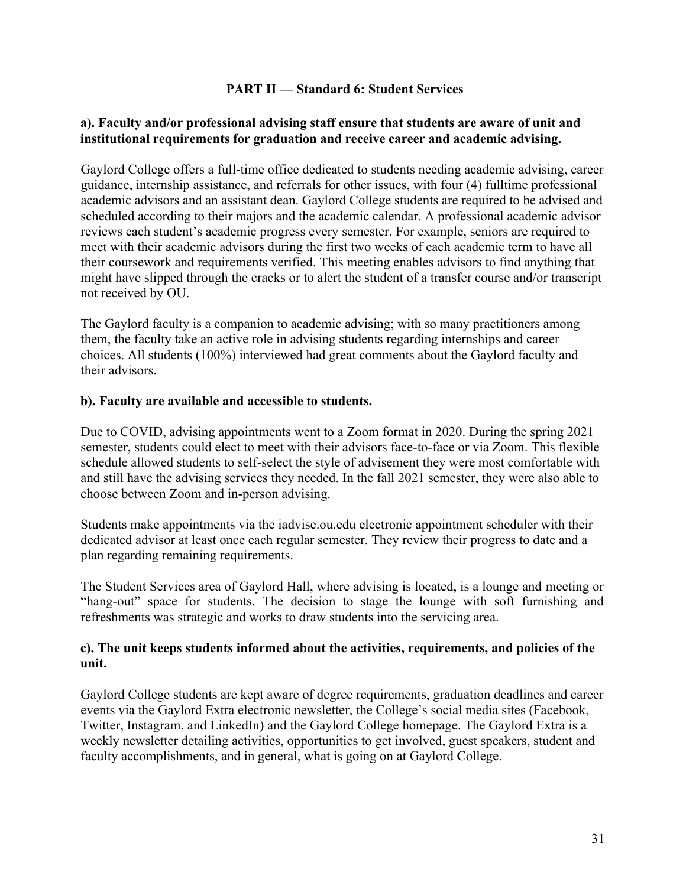#### **PART II — Standard 6: Student Services**

#### **a). Faculty and/or professional advising staff ensure that students are aware of unit and institutional requirements for graduation and receive career and academic advising.**

Gaylord College offers a full-time office dedicated to students needing academic advising, career guidance, internship assistance, and referrals for other issues, with four (4) fulltime professional academic advisors and an assistant dean. Gaylord College students are required to be advised and scheduled according to their majors and the academic calendar. A professional academic advisor reviews each student's academic progress every semester. For example, seniors are required to meet with their academic advisors during the first two weeks of each academic term to have all their coursework and requirements verified. This meeting enables advisors to find anything that might have slipped through the cracks or to alert the student of a transfer course and/or transcript not received by OU.

The Gaylord faculty is a companion to academic advising; with so many practitioners among them, the faculty take an active role in advising students regarding internships and career choices. All students (100%) interviewed had great comments about the Gaylord faculty and their advisors.

#### **b). Faculty are available and accessible to students.**

Due to COVID, advising appointments went to a Zoom format in 2020. During the spring 2021 semester, students could elect to meet with their advisors face-to-face or via Zoom. This flexible schedule allowed students to self-select the style of advisement they were most comfortable with and still have the advising services they needed. In the fall 2021 semester, they were also able to choose between Zoom and in-person advising.

Students make appointments via the iadvise.ou.edu electronic appointment scheduler with their dedicated advisor at least once each regular semester. They review their progress to date and a plan regarding remaining requirements.

The Student Services area of Gaylord Hall, where advising is located, is a lounge and meeting or "hang-out" space for students. The decision to stage the lounge with soft furnishing and refreshments was strategic and works to draw students into the servicing area.

#### **c). The unit keeps students informed about the activities, requirements, and policies of the unit.**

Gaylord College students are kept aware of degree requirements, graduation deadlines and career events via the Gaylord Extra electronic newsletter, the College's social media sites (Facebook, Twitter, Instagram, and LinkedIn) and the Gaylord College homepage. The Gaylord Extra is a weekly newsletter detailing activities, opportunities to get involved, guest speakers, student and faculty accomplishments, and in general, what is going on at Gaylord College.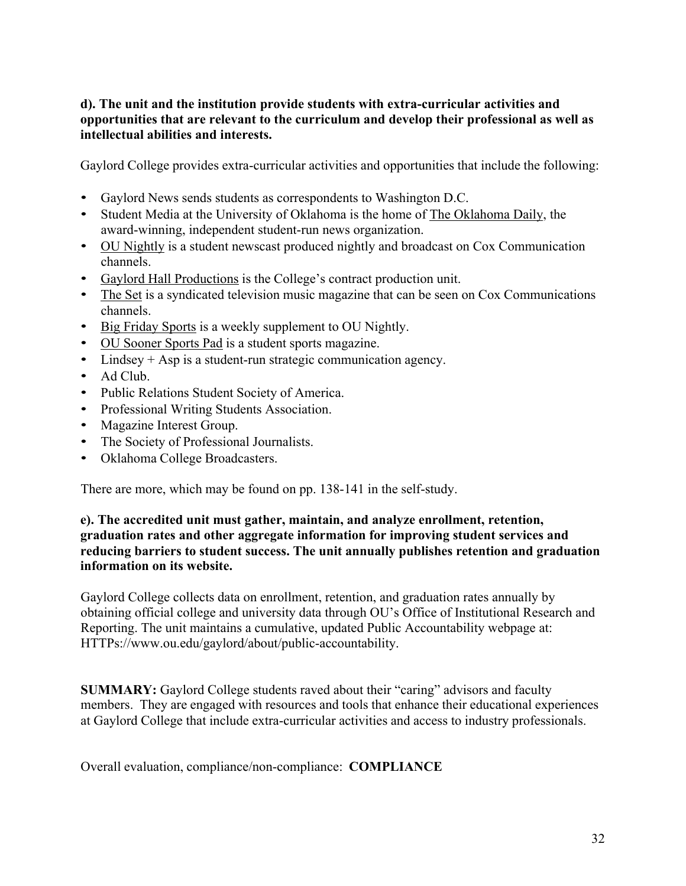# **d). The unit and the institution provide students with extra-curricular activities and opportunities that are relevant to the curriculum and develop their professional as well as intellectual abilities and interests.**

Gaylord College provides extra-curricular activities and opportunities that include the following:

- Gaylord News sends students as correspondents to Washington D.C.
- Student Media at the University of Oklahoma is the home of The Oklahoma Daily, the award-winning, independent student-run news organization.
- OU Nightly is a student newscast produced nightly and broadcast on Cox Communication channels.
- Gaylord Hall Productions is the College's contract production unit.
- The Set is a syndicated television music magazine that can be seen on Cox Communications channels.
- Big Friday Sports is a weekly supplement to OU Nightly.
- OU Sooner Sports Pad is a student sports magazine.
- Lindsey + Asp is a student-run strategic communication agency.
- Ad Club.
- Public Relations Student Society of America.
- Professional Writing Students Association.
- Magazine Interest Group.
- The Society of Professional Journalists.
- Oklahoma College Broadcasters.

There are more, which may be found on pp. 138-141 in the self-study.

#### **e). The accredited unit must gather, maintain, and analyze enrollment, retention, graduation rates and other aggregate information for improving student services and reducing barriers to student success. The unit annually publishes retention and graduation information on its website.**

Gaylord College collects data on enrollment, retention, and graduation rates annually by obtaining official college and university data through OU's Office of Institutional Research and Reporting. The unit maintains a cumulative, updated Public Accountability webpage at: HTTPs://www.ou.edu/gaylord/about/public-accountability.

**SUMMARY:** Gaylord College students raved about their "caring" advisors and faculty members. They are engaged with resources and tools that enhance their educational experiences at Gaylord College that include extra-curricular activities and access to industry professionals.

Overall evaluation, compliance/non-compliance: **COMPLIANCE**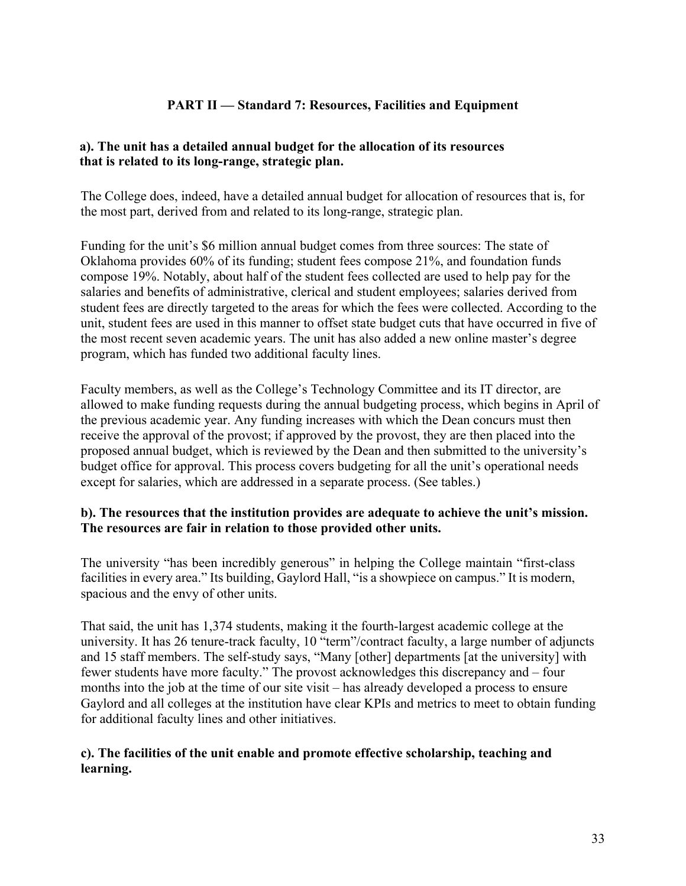# **PART II — Standard 7: Resources, Facilities and Equipment**

#### **a). The unit has a detailed annual budget for the allocation of its resources that is related to its long-range, strategic plan.**

The College does, indeed, have a detailed annual budget for allocation of resources that is, for the most part, derived from and related to its long-range, strategic plan.

Funding for the unit's \$6 million annual budget comes from three sources: The state of Oklahoma provides 60% of its funding; student fees compose 21%, and foundation funds compose 19%. Notably, about half of the student fees collected are used to help pay for the salaries and benefits of administrative, clerical and student employees; salaries derived from student fees are directly targeted to the areas for which the fees were collected. According to the unit, student fees are used in this manner to offset state budget cuts that have occurred in five of the most recent seven academic years. The unit has also added a new online master's degree program, which has funded two additional faculty lines.

Faculty members, as well as the College's Technology Committee and its IT director, are allowed to make funding requests during the annual budgeting process, which begins in April of the previous academic year. Any funding increases with which the Dean concurs must then receive the approval of the provost; if approved by the provost, they are then placed into the proposed annual budget, which is reviewed by the Dean and then submitted to the university's budget office for approval. This process covers budgeting for all the unit's operational needs except for salaries, which are addressed in a separate process. (See tables.)

# **b). The resources that the institution provides are adequate to achieve the unit's mission. The resources are fair in relation to those provided other units.**

The university "has been incredibly generous" in helping the College maintain "first-class facilities in every area." Its building, Gaylord Hall, "is a showpiece on campus." It is modern, spacious and the envy of other units.

That said, the unit has 1,374 students, making it the fourth-largest academic college at the university. It has 26 tenure-track faculty, 10 "term"/contract faculty, a large number of adjuncts and 15 staff members. The self-study says, "Many [other] departments [at the university] with fewer students have more faculty." The provost acknowledges this discrepancy and – four months into the job at the time of our site visit – has already developed a process to ensure Gaylord and all colleges at the institution have clear KPIs and metrics to meet to obtain funding for additional faculty lines and other initiatives.

#### **c). The facilities of the unit enable and promote effective scholarship, teaching and learning.**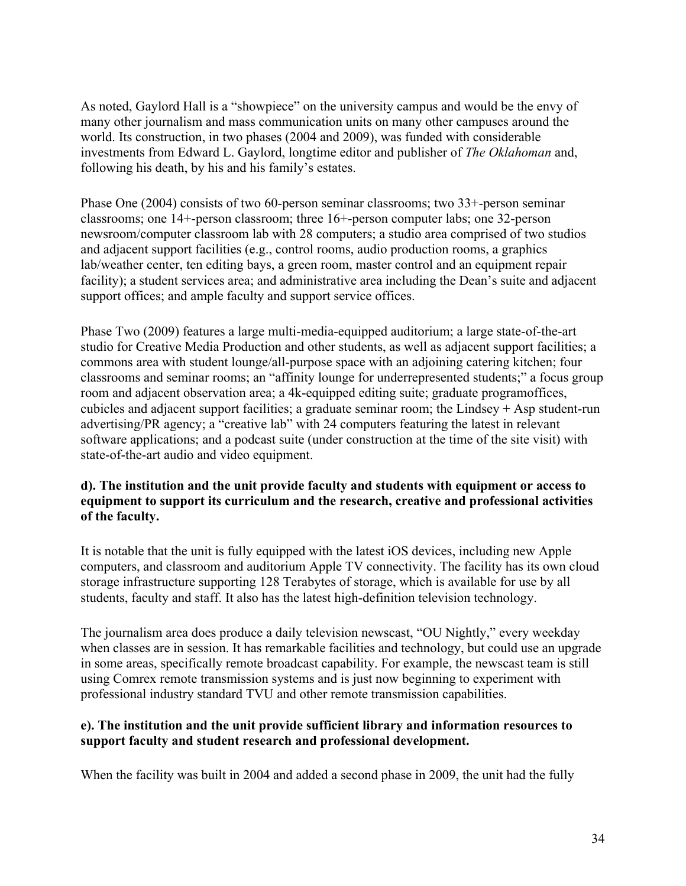As noted, Gaylord Hall is a "showpiece" on the university campus and would be the envy of many other journalism and mass communication units on many other campuses around the world. Its construction, in two phases (2004 and 2009), was funded with considerable investments from Edward L. Gaylord, longtime editor and publisher of *The Oklahoman* and, following his death, by his and his family's estates.

Phase One (2004) consists of two 60-person seminar classrooms; two 33+-person seminar classrooms; one 14+-person classroom; three 16+-person computer labs; one 32-person newsroom/computer classroom lab with 28 computers; a studio area comprised of two studios and adjacent support facilities (e.g., control rooms, audio production rooms, a graphics lab/weather center, ten editing bays, a green room, master control and an equipment repair facility); a student services area; and administrative area including the Dean's suite and adjacent support offices; and ample faculty and support service offices.

Phase Two (2009) features a large multi-media-equipped auditorium; a large state-of-the-art studio for Creative Media Production and other students, as well as adjacent support facilities; a commons area with student lounge/all-purpose space with an adjoining catering kitchen; four classrooms and seminar rooms; an "affinity lounge for underrepresented students;" a focus group room and adjacent observation area; a 4k-equipped editing suite; graduate programoffices, cubicles and adjacent support facilities; a graduate seminar room; the Lindsey + Asp student-run advertising/PR agency; a "creative lab" with 24 computers featuring the latest in relevant software applications; and a podcast suite (under construction at the time of the site visit) with state-of-the-art audio and video equipment.

# **d). The institution and the unit provide faculty and students with equipment or access to equipment to support its curriculum and the research, creative and professional activities of the faculty.**

It is notable that the unit is fully equipped with the latest iOS devices, including new Apple computers, and classroom and auditorium Apple TV connectivity. The facility has its own cloud storage infrastructure supporting 128 Terabytes of storage, which is available for use by all students, faculty and staff. It also has the latest high-definition television technology.

The journalism area does produce a daily television newscast, "OU Nightly," every weekday when classes are in session. It has remarkable facilities and technology, but could use an upgrade in some areas, specifically remote broadcast capability. For example, the newscast team is still using Comrex remote transmission systems and is just now beginning to experiment with professional industry standard TVU and other remote transmission capabilities.

# **e). The institution and the unit provide sufficient library and information resources to support faculty and student research and professional development.**

When the facility was built in 2004 and added a second phase in 2009, the unit had the fully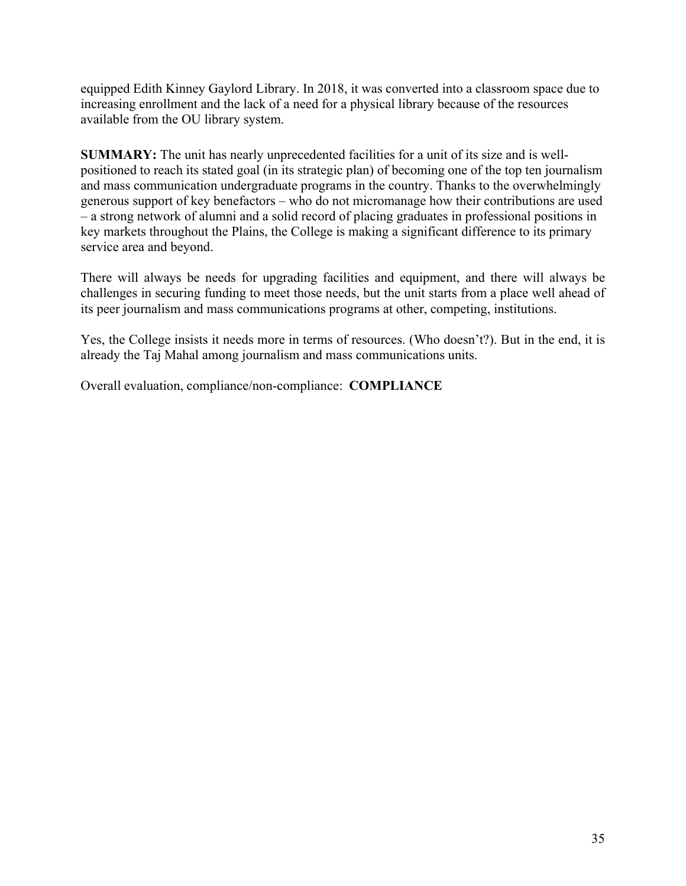equipped Edith Kinney Gaylord Library. In 2018, it was converted into a classroom space due to increasing enrollment and the lack of a need for a physical library because of the resources available from the OU library system.

**SUMMARY:** The unit has nearly unprecedented facilities for a unit of its size and is wellpositioned to reach its stated goal (in its strategic plan) of becoming one of the top ten journalism and mass communication undergraduate programs in the country. Thanks to the overwhelmingly generous support of key benefactors – who do not micromanage how their contributions are used – a strong network of alumni and a solid record of placing graduates in professional positions in key markets throughout the Plains, the College is making a significant difference to its primary service area and beyond.

There will always be needs for upgrading facilities and equipment, and there will always be challenges in securing funding to meet those needs, but the unit starts from a place well ahead of its peer journalism and mass communications programs at other, competing, institutions.

Yes, the College insists it needs more in terms of resources. (Who doesn't?). But in the end, it is already the Taj Mahal among journalism and mass communications units.

Overall evaluation, compliance/non-compliance: **COMPLIANCE**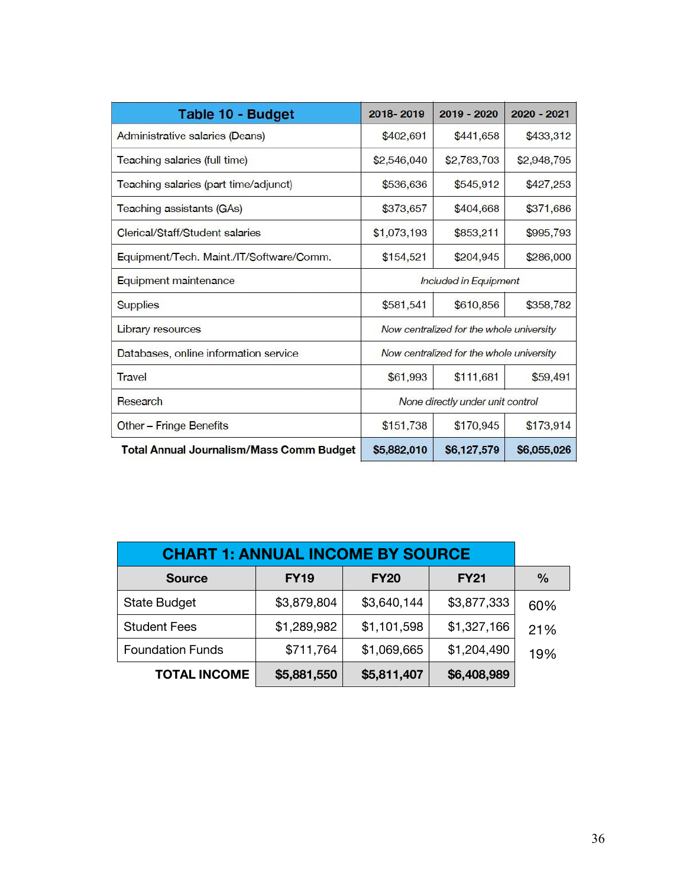| Table 10 - Budget                               | 2018-2019                        | 2019 - 2020                              | 2020 - 2021 |  |
|-------------------------------------------------|----------------------------------|------------------------------------------|-------------|--|
| Administrative salaries (Deans)                 | \$402,691                        | \$441,658                                | \$433,312   |  |
| Teaching salaries (full time)                   | \$2,546,040                      | \$2,948,795                              |             |  |
| Teaching salaries (part time/adjunct)           | \$536,636                        | \$545,912                                | \$427,253   |  |
| Teaching assistants (GAs)                       | \$373,657                        | \$404,668                                | \$371,686   |  |
| Clerical/Staff/Student salaries                 | \$1,073,193                      | \$853,211                                | \$995,793   |  |
| Equipment/Tech. Maint./IT/Software/Comm.        | \$154,521                        | \$204,945                                | \$286,000   |  |
| Equipment maintenance                           | Included in Equipment            |                                          |             |  |
| <b>Supplies</b>                                 | \$581,541                        | \$358,782                                |             |  |
| Library resources                               |                                  | Now centralized for the whole university |             |  |
| Databases, online information service           |                                  | Now centralized for the whole university |             |  |
| Travel                                          | \$61,993                         | \$111,681                                | \$59,491    |  |
| Research                                        | None directly under unit control |                                          |             |  |
| Other – Fringe Benefits                         | \$151,738                        | \$170,945                                | \$173,914   |  |
| <b>Total Annual Journalism/Mass Comm Budget</b> | \$5,882,010                      | \$6,127,579                              | \$6,055,026 |  |

| <b>CHART 1: ANNUAL INCOME BY SOURCE</b> |             |             |             |               |
|-----------------------------------------|-------------|-------------|-------------|---------------|
| <b>Source</b>                           | <b>FY19</b> | <b>FY20</b> | <b>FY21</b> | $\frac{0}{0}$ |
| <b>State Budget</b>                     | \$3,879,804 | \$3,640,144 | \$3,877,333 | 60%           |
| <b>Student Fees</b>                     | \$1,289,982 | \$1,101,598 | \$1,327,166 | 21%           |
| <b>Foundation Funds</b>                 | \$711,764   | \$1,069,665 | \$1,204,490 | 19%           |
| <b>TOTAL INCOME</b>                     | \$5,881,550 | \$5,811,407 | \$6,408,989 |               |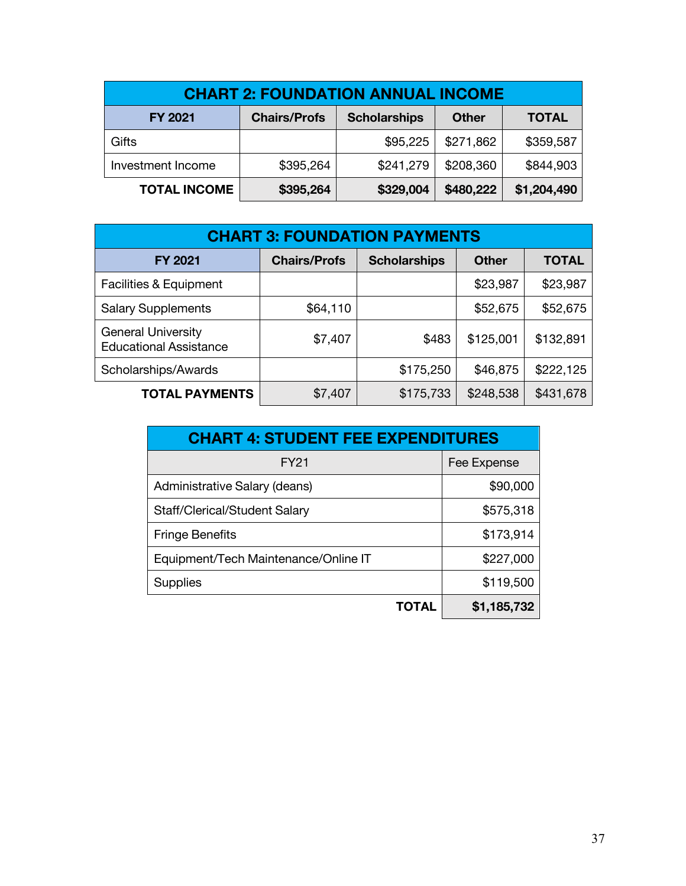| <b>CHART 2: FOUNDATION ANNUAL INCOME</b> |                     |                     |              |              |  |  |
|------------------------------------------|---------------------|---------------------|--------------|--------------|--|--|
| <b>FY 2021</b>                           | <b>Chairs/Profs</b> | <b>Scholarships</b> | <b>Other</b> | <b>TOTAL</b> |  |  |
| Gifts                                    |                     | \$95,225            | \$271,862    | \$359,587    |  |  |
| Investment Income                        | \$395,264           | \$241,279           | \$208,360    | \$844,903    |  |  |
| <b>TOTAL INCOME</b>                      | \$395,264           | \$329,004           | \$480,222    | \$1,204,490  |  |  |

| <b>CHART 3: FOUNDATION PAYMENTS</b>                        |                     |                     |              |              |  |  |
|------------------------------------------------------------|---------------------|---------------------|--------------|--------------|--|--|
| <b>FY 2021</b>                                             | <b>Chairs/Profs</b> | <b>Scholarships</b> | <b>Other</b> | <b>TOTAL</b> |  |  |
| <b>Facilities &amp; Equipment</b>                          |                     |                     | \$23,987     | \$23,987     |  |  |
| <b>Salary Supplements</b>                                  | \$64,110            |                     | \$52,675     | \$52,675     |  |  |
| <b>General University</b><br><b>Educational Assistance</b> | \$7,407             | \$483               | \$125,001    | \$132,891    |  |  |
| Scholarships/Awards                                        |                     | \$175,250           | \$46,875     | \$222,125    |  |  |
| <b>TOTAL PAYMENTS</b>                                      | \$7,407             | \$175,733           | \$248,538    | \$431,678    |  |  |

| <b>CHART 4: STUDENT FEE EXPENDITURES</b> |             |  |  |
|------------------------------------------|-------------|--|--|
| FY21                                     | Fee Expense |  |  |
| Administrative Salary (deans)            | \$90,000    |  |  |
| Staff/Clerical/Student Salary            | \$575,318   |  |  |
| <b>Fringe Benefits</b>                   | \$173,914   |  |  |
| Equipment/Tech Maintenance/Online IT     | \$227,000   |  |  |
| <b>Supplies</b>                          | \$119,500   |  |  |
| TOTAL                                    | \$1,185,732 |  |  |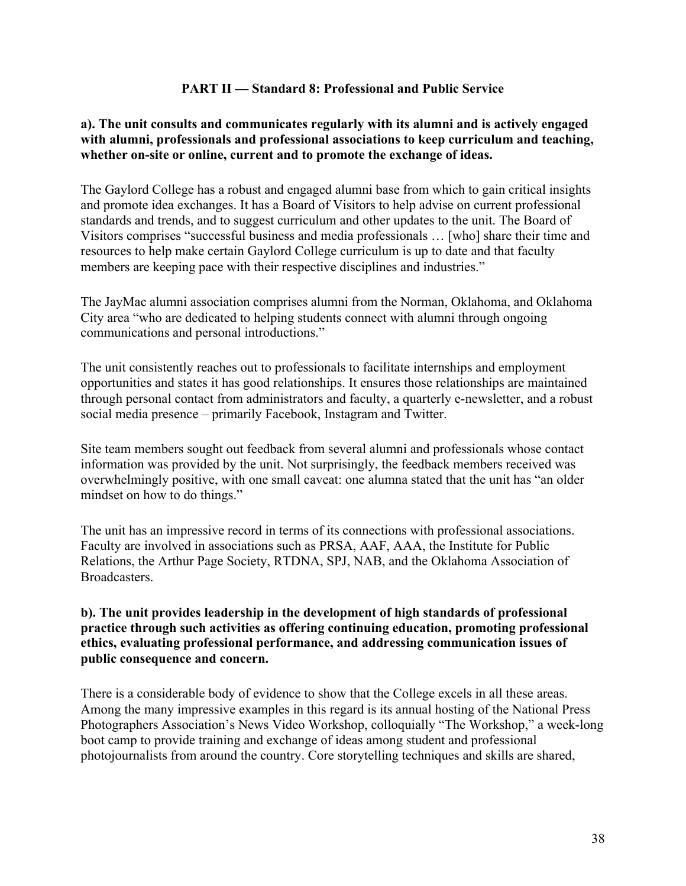#### **PART II — Standard 8: Professional and Public Service**

#### **a). The unit consults and communicates regularly with its alumni and is actively engaged with alumni, professionals and professional associations to keep curriculum and teaching, whether on-site or online, current and to promote the exchange of ideas.**

The Gaylord College has a robust and engaged alumni base from which to gain critical insights and promote idea exchanges. It has a Board of Visitors to help advise on current professional standards and trends, and to suggest curriculum and other updates to the unit. The Board of Visitors comprises "successful business and media professionals … [who] share their time and resources to help make certain Gaylord College curriculum is up to date and that faculty members are keeping pace with their respective disciplines and industries."

The JayMac alumni association comprises alumni from the Norman, Oklahoma, and Oklahoma City area "who are dedicated to helping students connect with alumni through ongoing communications and personal introductions."

The unit consistently reaches out to professionals to facilitate internships and employment opportunities and states it has good relationships. It ensures those relationships are maintained through personal contact from administrators and faculty, a quarterly e-newsletter, and a robust social media presence – primarily Facebook, Instagram and Twitter.

Site team members sought out feedback from several alumni and professionals whose contact information was provided by the unit. Not surprisingly, the feedback members received was overwhelmingly positive, with one small caveat: one alumna stated that the unit has "an older mindset on how to do things."

The unit has an impressive record in terms of its connections with professional associations. Faculty are involved in associations such as PRSA, AAF, AAA, the Institute for Public Relations, the Arthur Page Society, RTDNA, SPJ, NAB, and the Oklahoma Association of Broadcasters.

#### **b). The unit provides leadership in the development of high standards of professional practice through such activities as offering continuing education, promoting professional ethics, evaluating professional performance, and addressing communication issues of public consequence and concern.**

There is a considerable body of evidence to show that the College excels in all these areas. Among the many impressive examples in this regard is its annual hosting of the National Press Photographers Association's News Video Workshop, colloquially "The Workshop," a week-long boot camp to provide training and exchange of ideas among student and professional photojournalists from around the country. Core storytelling techniques and skills are shared,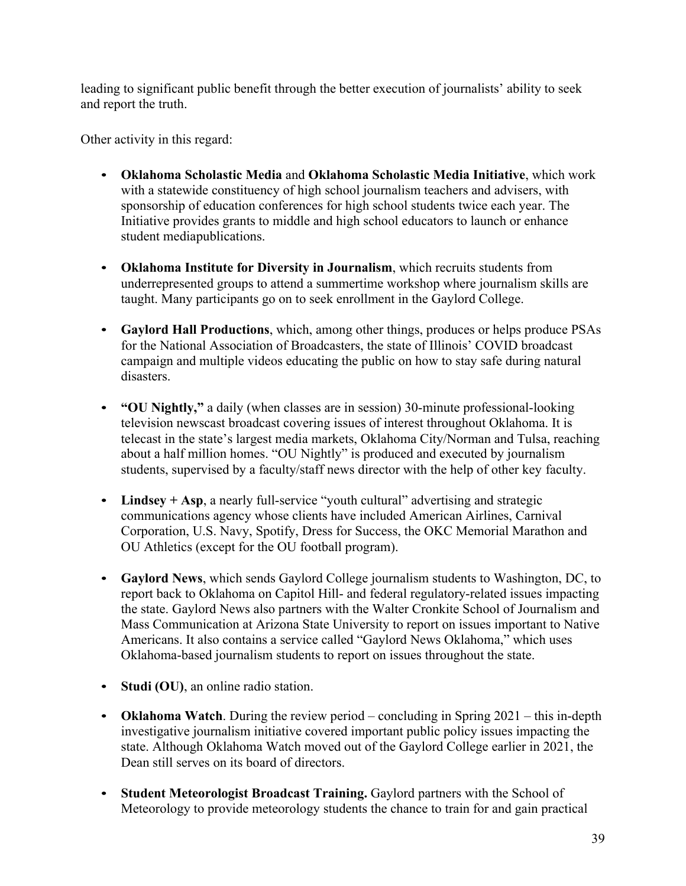leading to significant public benefit through the better execution of journalists' ability to seek and report the truth.

Other activity in this regard:

- **Oklahoma Scholastic Media** and **Oklahoma Scholastic Media Initiative**, which work with a statewide constituency of high school journalism teachers and advisers, with sponsorship of education conferences for high school students twice each year. The Initiative provides grants to middle and high school educators to launch or enhance student mediapublications.
- **Oklahoma Institute for Diversity in Journalism**, which recruits students from underrepresented groups to attend a summertime workshop where journalism skills are taught. Many participants go on to seek enrollment in the Gaylord College.
- **Gaylord Hall Productions**, which, among other things, produces or helps produce PSAs for the National Association of Broadcasters, the state of Illinois' COVID broadcast campaign and multiple videos educating the public on how to stay safe during natural disasters.
- **"OU Nightly,"** a daily (when classes are in session) 30-minute professional-looking television newscast broadcast covering issues of interest throughout Oklahoma. It is telecast in the state's largest media markets, Oklahoma City/Norman and Tulsa, reaching about a half million homes. "OU Nightly" is produced and executed by journalism students, supervised by a faculty/staff news director with the help of other key faculty.
- Lindsey + Asp, a nearly full-service "youth cultural" advertising and strategic communications agency whose clients have included American Airlines, Carnival Corporation, U.S. Navy, Spotify, Dress for Success, the OKC Memorial Marathon and OU Athletics (except for the OU football program).
- **Gaylord News**, which sends Gaylord College journalism students to Washington, DC, to report back to Oklahoma on Capitol Hill- and federal regulatory-related issues impacting the state. Gaylord News also partners with the Walter Cronkite School of Journalism and Mass Communication at Arizona State University to report on issues important to Native Americans. It also contains a service called "Gaylord News Oklahoma," which uses Oklahoma-based journalism students to report on issues throughout the state.
- **Studi (OU)**, an online radio station.
- **Oklahoma Watch**. During the review period concluding in Spring 2021 this in-depth investigative journalism initiative covered important public policy issues impacting the state. Although Oklahoma Watch moved out of the Gaylord College earlier in 2021, the Dean still serves on its board of directors.
- **Student Meteorologist Broadcast Training.** Gaylord partners with the School of Meteorology to provide meteorology students the chance to train for and gain practical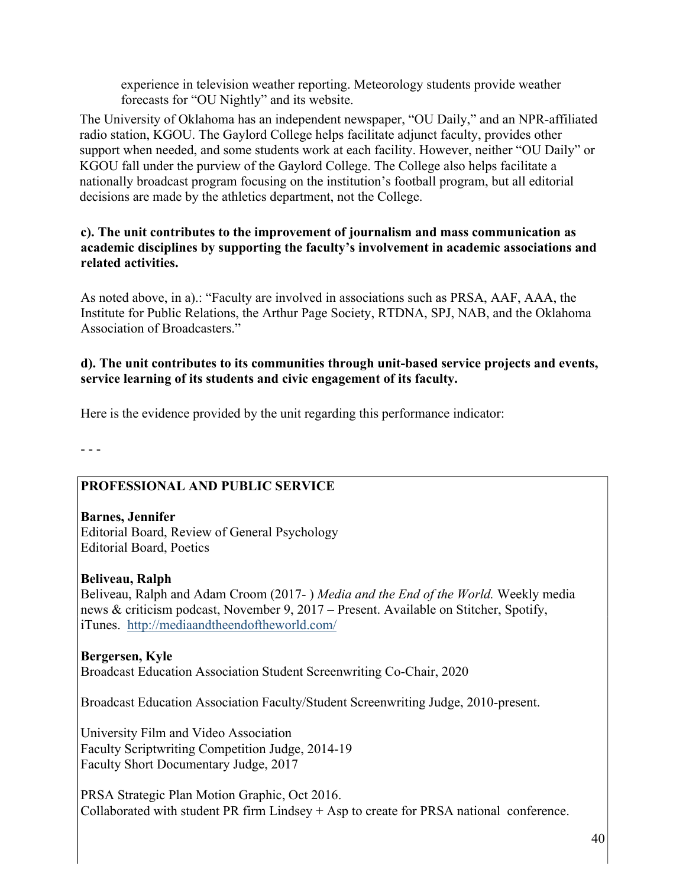experience in television weather reporting. Meteorology students provide weather forecasts for "OU Nightly" and its website.

The University of Oklahoma has an independent newspaper, "OU Daily," and an NPR-affiliated radio station, KGOU. The Gaylord College helps facilitate adjunct faculty, provides other support when needed, and some students work at each facility. However, neither "OU Daily" or KGOU fall under the purview of the Gaylord College. The College also helps facilitate a nationally broadcast program focusing on the institution's football program, but all editorial decisions are made by the athletics department, not the College.

#### **c). The unit contributes to the improvement of journalism and mass communication as academic disciplines by supporting the faculty's involvement in academic associations and related activities.**

As noted above, in a).: "Faculty are involved in associations such as PRSA, AAF, AAA, the Institute for Public Relations, the Arthur Page Society, RTDNA, SPJ, NAB, and the Oklahoma Association of Broadcasters."

# **d). The unit contributes to its communities through unit-based service projects and events, service learning of its students and civic engagement of its faculty.**

Here is the evidence provided by the unit regarding this performance indicator:

- - -

# **PROFESSIONAL AND PUBLIC SERVICE**

**Barnes, Jennifer** Editorial Board, Review of General Psychology Editorial Board, Poetics

#### **Beliveau, Ralph**

Beliveau, Ralph and Adam Croom (2017- ) *Media and the End of the World.* Weekly media news & criticism podcast, November 9, 2017 – Present. Available on Stitcher, Spotify, iTunes. http://mediaandtheendoftheworld.com/

#### **Bergersen, Kyle** Broadcast Education Association Student Screenwriting Co-Chair, 2020

Broadcast Education Association Faculty/Student Screenwriting Judge, 2010-present.

University Film and Video Association Faculty Scriptwriting Competition Judge, 2014-19 Faculty Short Documentary Judge, 2017

PRSA Strategic Plan Motion Graphic, Oct 2016. Collaborated with student PR firm Lindsey  $+$  Asp to create for PRSA national conference.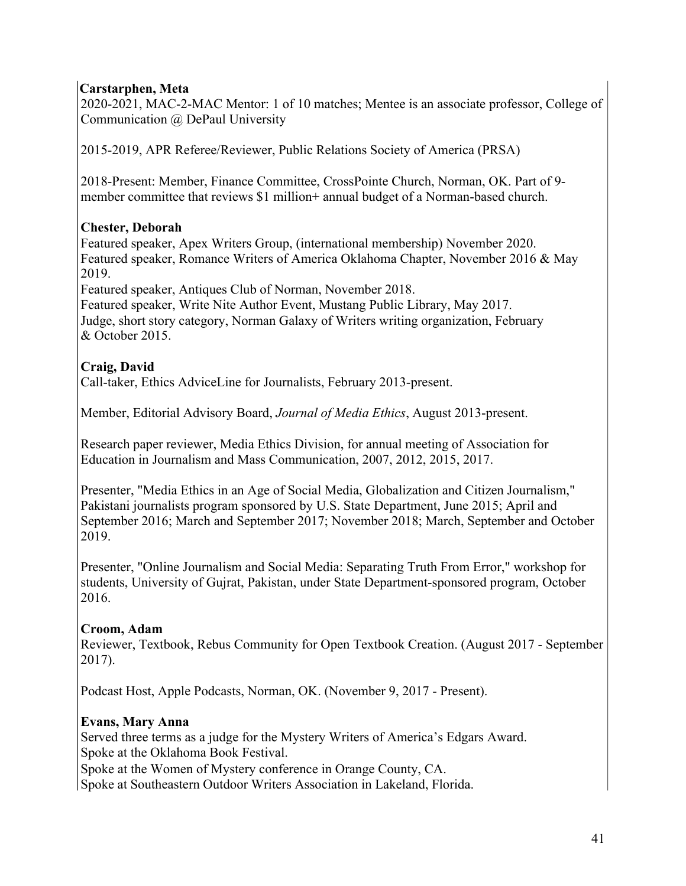# **Carstarphen, Meta**

2020-2021, MAC-2-MAC Mentor: 1 of 10 matches; Mentee is an associate professor, College of Communication @ DePaul University

2015-2019, APR Referee/Reviewer, Public Relations Society of America (PRSA)

2018-Present: Member, Finance Committee, CrossPointe Church, Norman, OK. Part of 9 member committee that reviews \$1 million+ annual budget of a Norman-based church.

# **Chester, Deborah**

Featured speaker, Apex Writers Group, (international membership) November 2020. Featured speaker, Romance Writers of America Oklahoma Chapter, November 2016 & May 2019.

Featured speaker, Antiques Club of Norman, November 2018.

Featured speaker, Write Nite Author Event, Mustang Public Library, May 2017. Judge, short story category, Norman Galaxy of Writers writing organization, February & October 2015.

# **Craig, David**

Call-taker, Ethics AdviceLine for Journalists, February 2013-present.

Member, Editorial Advisory Board, *Journal of Media Ethics*, August 2013-present.

Research paper reviewer, Media Ethics Division, for annual meeting of Association for Education in Journalism and Mass Communication, 2007, 2012, 2015, 2017.

Presenter, "Media Ethics in an Age of Social Media, Globalization and Citizen Journalism," Pakistani journalists program sponsored by U.S. State Department, June 2015; April and September 2016; March and September 2017; November 2018; March, September and October 2019.

Presenter, "Online Journalism and Social Media: Separating Truth From Error," workshop for students, University of Gujrat, Pakistan, under State Department-sponsored program, October 2016.

# **Croom, Adam**

Reviewer, Textbook, Rebus Community for Open Textbook Creation. (August 2017 - September 2017).

Podcast Host, Apple Podcasts, Norman, OK. (November 9, 2017 - Present).

# **Evans, Mary Anna**

Served three terms as a judge for the Mystery Writers of America's Edgars Award. Spoke at the Oklahoma Book Festival. Spoke at the Women of Mystery conference in Orange County, CA. Spoke at Southeastern Outdoor Writers Association in Lakeland, Florida.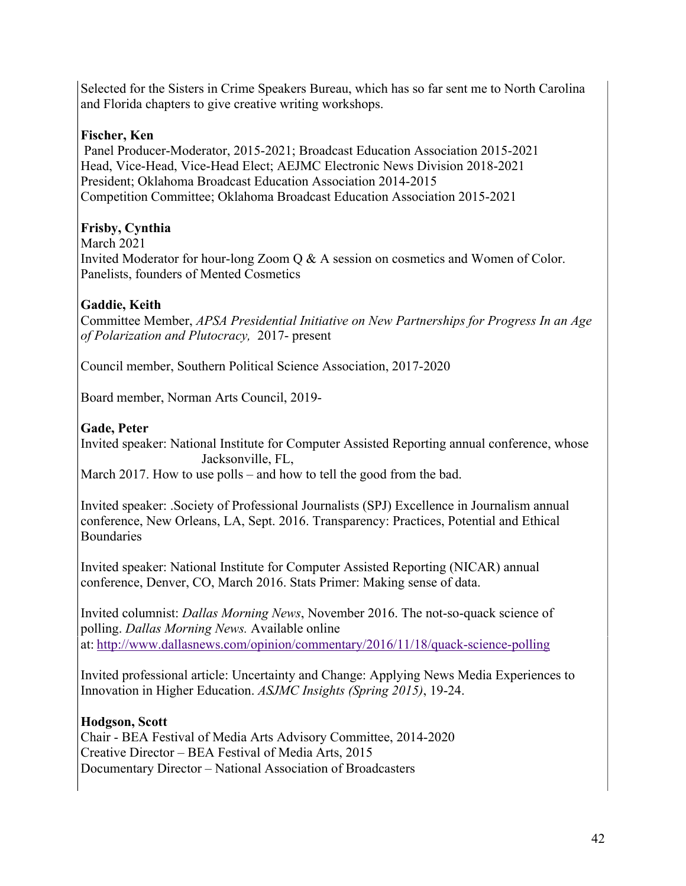Selected for the Sisters in Crime Speakers Bureau, which has so far sent me to North Carolina and Florida chapters to give creative writing workshops.

# **Fischer, Ken**

Panel Producer-Moderator, 2015-2021; Broadcast Education Association 2015-2021 Head, Vice-Head, Vice-Head Elect; AEJMC Electronic News Division 2018-2021 President; Oklahoma Broadcast Education Association 2014-2015 Competition Committee; Oklahoma Broadcast Education Association 2015-2021

# **Frisby, Cynthia**

#### March 2021

Invited Moderator for hour-long Zoom Q & A session on cosmetics and Women of Color. Panelists, founders of Mented Cosmetics

# **Gaddie, Keith**

Committee Member, *APSA Presidential Initiative on New Partnerships for Progress In an Age of Polarization and Plutocracy,* 2017- present

Council member, Southern Political Science Association, 2017-2020

Board member, Norman Arts Council, 2019-

# **Gade, Peter**

Invited speaker: National Institute for Computer Assisted Reporting annual conference, whose Jacksonville, FL,

March 2017. How to use polls – and how to tell the good from the bad.

Invited speaker: .Society of Professional Journalists (SPJ) Excellence in Journalism annual conference, New Orleans, LA, Sept. 2016. Transparency: Practices, Potential and Ethical **Boundaries** 

Invited speaker: National Institute for Computer Assisted Reporting (NICAR) annual conference, Denver, CO, March 2016. Stats Primer: Making sense of data.

Invited columnist: *Dallas Morning News*, November 2016. The not-so-quack science of polling. *Dallas Morning News.* Available online at: http://www.dallasnews.com/opinion/commentary/2016/11/18/quack-science-polling

Invited professional article: Uncertainty and Change: Applying News Media Experiences to Innovation in Higher Education. *ASJMC Insights (Spring 2015)*, 19-24.

# **Hodgson, Scott**

Chair - BEA Festival of Media Arts Advisory Committee, 2014-2020 Creative Director – BEA Festival of Media Arts, 2015 Documentary Director – National Association of Broadcasters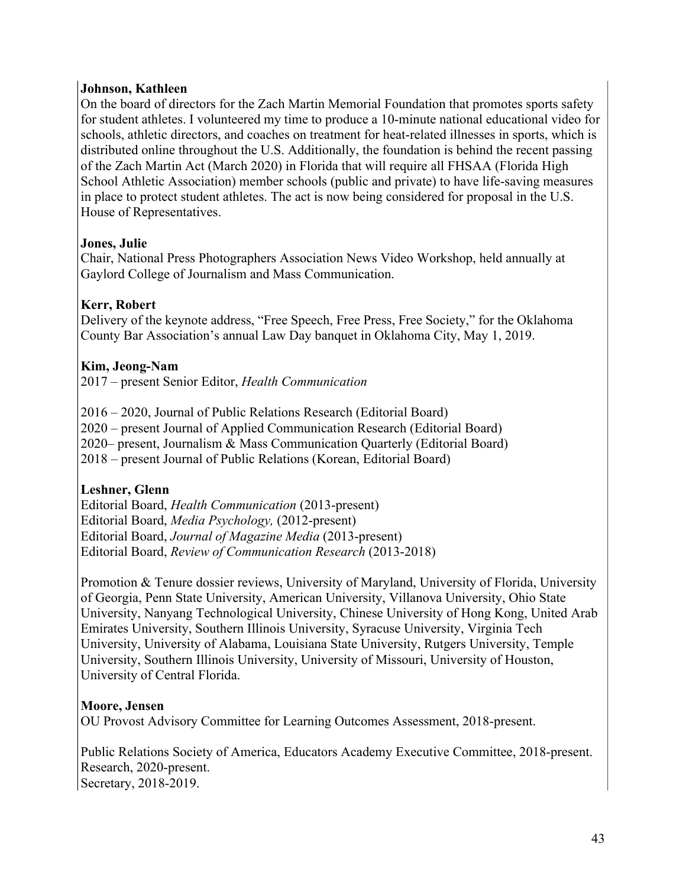#### **Johnson, Kathleen**

On the board of directors for the Zach Martin Memorial Foundation that promotes sports safety for student athletes. I volunteered my time to produce a 10-minute national educational video for schools, athletic directors, and coaches on treatment for heat-related illnesses in sports, which is distributed online throughout the U.S. Additionally, the foundation is behind the recent passing of the Zach Martin Act (March 2020) in Florida that will require all FHSAA (Florida High School Athletic Association) member schools (public and private) to have life-saving measures in place to protect student athletes. The act is now being considered for proposal in the U.S. House of Representatives.

#### **Jones, Julie**

Chair, National Press Photographers Association News Video Workshop, held annually at Gaylord College of Journalism and Mass Communication.

# **Kerr, Robert**

Delivery of the keynote address, "Free Speech, Free Press, Free Society," for the Oklahoma County Bar Association's annual Law Day banquet in Oklahoma City, May 1, 2019.

#### **Kim, Jeong-Nam**

2017 – present Senior Editor, *Health Communication*

2016 – 2020, Journal of Public Relations Research (Editorial Board) 2020 – present Journal of Applied Communication Research (Editorial Board) 2020– present, Journalism & Mass Communication Quarterly (Editorial Board) 2018 – present Journal of Public Relations (Korean, Editorial Board)

# **Leshner, Glenn**

Editorial Board, *Health Communication* (2013-present) Editorial Board, *Media Psychology,* (2012-present) Editorial Board, *Journal of Magazine Media* (2013-present) Editorial Board, *Review of Communication Research* (2013-2018)

Promotion & Tenure dossier reviews, University of Maryland, University of Florida, University of Georgia, Penn State University, American University, Villanova University, Ohio State University, Nanyang Technological University, Chinese University of Hong Kong, United Arab Emirates University, Southern Illinois University, Syracuse University, Virginia Tech University, University of Alabama, Louisiana State University, Rutgers University, Temple University, Southern Illinois University, University of Missouri, University of Houston, University of Central Florida.

#### **Moore, Jensen**

OU Provost Advisory Committee for Learning Outcomes Assessment, 2018-present.

Public Relations Society of America, Educators Academy Executive Committee, 2018-present. Research, 2020-present. Secretary, 2018-2019.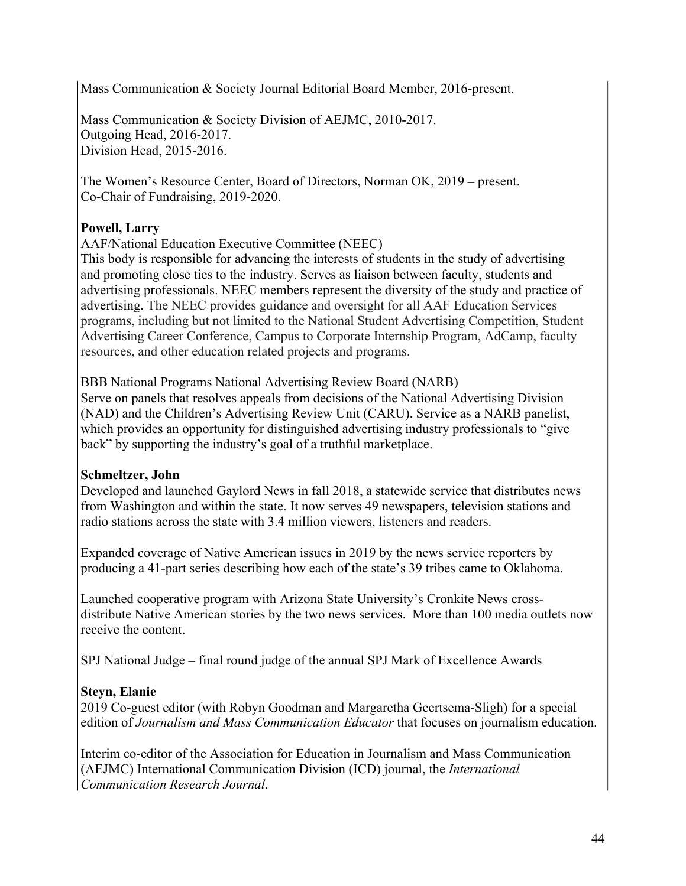Mass Communication & Society Journal Editorial Board Member, 2016-present.

Mass Communication & Society Division of AEJMC, 2010-2017. Outgoing Head, 2016-2017. Division Head, 2015-2016.

The Women's Resource Center, Board of Directors, Norman OK, 2019 – present. Co-Chair of Fundraising, 2019-2020.

# **Powell, Larry**

AAF/National Education Executive Committee (NEEC)

This body is responsible for advancing the interests of students in the study of advertising and promoting close ties to the industry. Serves as liaison between faculty, students and advertising professionals. NEEC members represent the diversity of the study and practice of advertising. The NEEC provides guidance and oversight for all AAF Education Services programs, including but not limited to the National Student Advertising Competition, Student Advertising Career Conference, Campus to Corporate Internship Program, AdCamp, faculty resources, and other education related projects and programs.

BBB National Programs National Advertising Review Board (NARB) Serve on panels that resolves appeals from decisions of the National Advertising Division (NAD) and the Children's Advertising Review Unit (CARU). Service as a NARB panelist, which provides an opportunity for distinguished advertising industry professionals to "give" back" by supporting the industry's goal of a truthful marketplace.

# **Schmeltzer, John**

Developed and launched Gaylord News in fall 2018, a statewide service that distributes news from Washington and within the state. It now serves 49 newspapers, television stations and radio stations across the state with 3.4 million viewers, listeners and readers.

Expanded coverage of Native American issues in 2019 by the news service reporters by producing a 41-part series describing how each of the state's 39 tribes came to Oklahoma.

Launched cooperative program with Arizona State University's Cronkite News crossdistribute Native American stories by the two news services. More than 100 media outlets now receive the content.

SPJ National Judge – final round judge of the annual SPJ Mark of Excellence Awards

# **Steyn, Elanie**

2019 Co-guest editor (with Robyn Goodman and Margaretha Geertsema-Sligh) for a special edition of *Journalism and Mass Communication Educator* that focuses on journalism education.

Interim co-editor of the Association for Education in Journalism and Mass Communication (AEJMC) International Communication Division (ICD) journal, the *International Communication Research Journal*.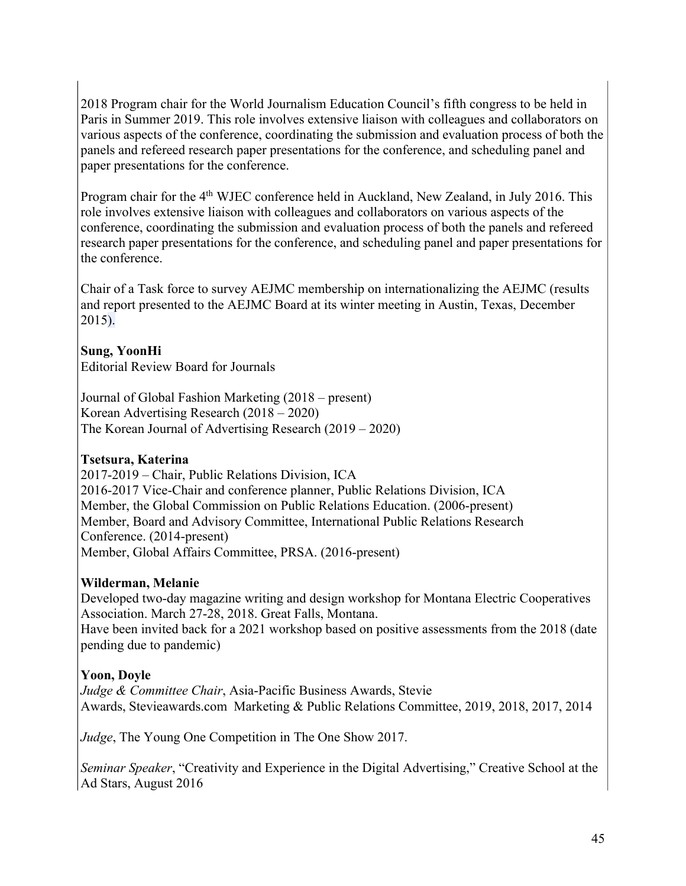2018 Program chair for the World Journalism Education Council's fifth congress to be held in Paris in Summer 2019. This role involves extensive liaison with colleagues and collaborators on various aspects of the conference, coordinating the submission and evaluation process of both the panels and refereed research paper presentations for the conference, and scheduling panel and paper presentations for the conference.

Program chair for the 4<sup>th</sup> WJEC conference held in Auckland, New Zealand, in July 2016. This role involves extensive liaison with colleagues and collaborators on various aspects of the conference, coordinating the submission and evaluation process of both the panels and refereed research paper presentations for the conference, and scheduling panel and paper presentations for the conference.

Chair of a Task force to survey AEJMC membership on internationalizing the AEJMC (results and report presented to the AEJMC Board at its winter meeting in Austin, Texas, December 2015).

# **Sung, YoonHi**

Editorial Review Board for Journals

Journal of Global Fashion Marketing (2018 – present) Korean Advertising Research (2018 – 2020) The Korean Journal of Advertising Research (2019 – 2020)

# **Tsetsura, Katerina**

2017-2019 – Chair, Public Relations Division, ICA 2016-2017 Vice-Chair and conference planner, Public Relations Division, ICA Member, the Global Commission on Public Relations Education. (2006-present) Member, Board and Advisory Committee, International Public Relations Research Conference. (2014-present) Member, Global Affairs Committee, PRSA. (2016-present)

# **Wilderman, Melanie**

Developed two-day magazine writing and design workshop for Montana Electric Cooperatives Association. March 27-28, 2018. Great Falls, Montana. Have been invited back for a 2021 workshop based on positive assessments from the 2018 (date pending due to pandemic)

# **Yoon, Doyle**

*Judge & Committee Chair*, Asia-Pacific Business Awards, Stevie Awards, Stevieawards.com Marketing & Public Relations Committee, 2019, 2018, 2017, 2014

*Judge*, The Young One Competition in The One Show 2017.

*Seminar Speaker*, "Creativity and Experience in the Digital Advertising," Creative School at the Ad Stars, August 2016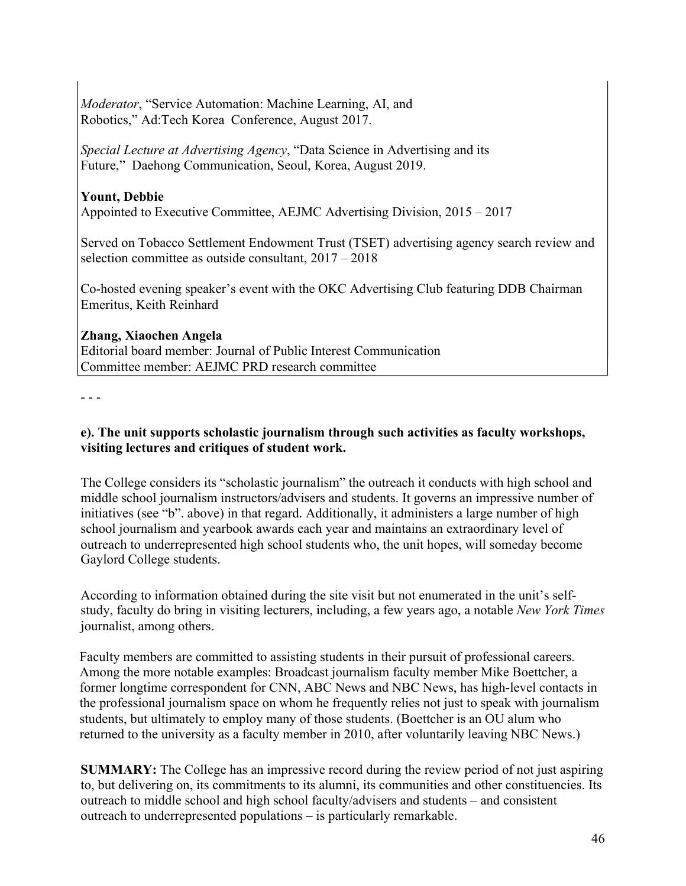*Moderator*, "Service Automation: Machine Learning, AI, and Robotics," Ad:Tech Korea Conference, August 2017.

*Special Lecture at Advertising Agency*, "Data Science in Advertising and its Future," Daehong Communication, Seoul, Korea, August 2019.

# **Yount, Debbie**

Appointed to Executive Committee, AEJMC Advertising Division, 2015 – 2017

Served on Tobacco Settlement Endowment Trust (TSET) advertising agency search review and selection committee as outside consultant, 2017 – 2018

Co-hosted evening speaker's event with the OKC Advertising Club featuring DDB Chairman Emeritus, Keith Reinhard

# **Zhang, Xiaochen Angela**

Editorial board member: Journal of Public Interest Communication Committee member: AEJMC PRD research committee

- - -

# **e). The unit supports scholastic journalism through such activities as faculty workshops, visiting lectures and critiques of student work.**

The College considers its "scholastic journalism" the outreach it conducts with high school and middle school journalism instructors/advisers and students. It governs an impressive number of initiatives (see "b". above) in that regard. Additionally, it administers a large number of high school journalism and yearbook awards each year and maintains an extraordinary level of outreach to underrepresented high school students who, the unit hopes, will someday become Gaylord College students.

According to information obtained during the site visit but not enumerated in the unit's selfstudy, faculty do bring in visiting lecturers, including, a few years ago, a notable *New York Times* journalist, among others.

Faculty members are committed to assisting students in their pursuit of professional careers. Among the more notable examples: Broadcast journalism faculty member Mike Boettcher, a former longtime correspondent for CNN, ABC News and NBC News, has high-level contacts in the professional journalism space on whom he frequently relies not just to speak with journalism students, but ultimately to employ many of those students. (Boettcher is an OU alum who returned to the university as a faculty member in 2010, after voluntarily leaving NBC News.)

**SUMMARY:** The College has an impressive record during the review period of not just aspiring to, but delivering on, its commitments to its alumni, its communities and other constituencies. Its outreach to middle school and high school faculty/advisers and students – and consistent outreach to underrepresented populations – is particularly remarkable.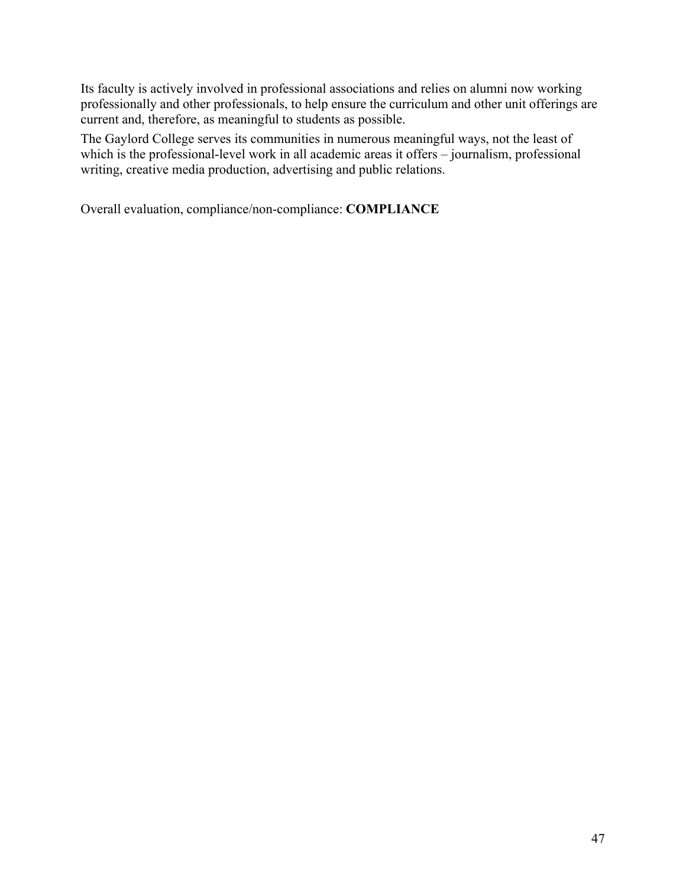Its faculty is actively involved in professional associations and relies on alumni now working professionally and other professionals, to help ensure the curriculum and other unit offerings are current and, therefore, as meaningful to students as possible.

The Gaylord College serves its communities in numerous meaningful ways, not the least of which is the professional-level work in all academic areas it offers – journalism, professional writing, creative media production, advertising and public relations.

Overall evaluation, compliance/non-compliance: **COMPLIANCE**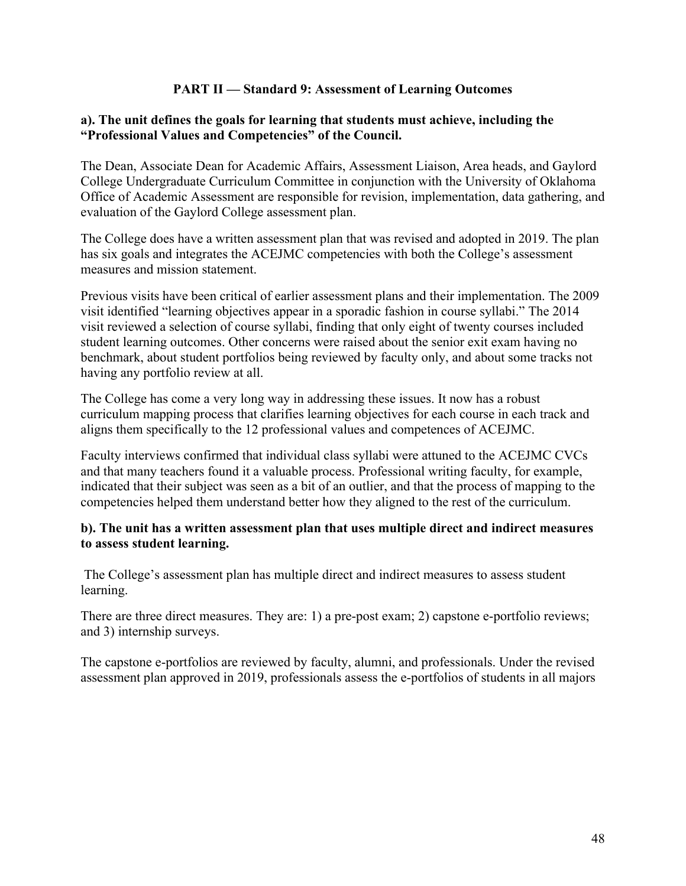# **PART II — Standard 9: Assessment of Learning Outcomes**

#### **a). The unit defines the goals for learning that students must achieve, including the "Professional Values and Competencies" of the Council.**

The Dean, Associate Dean for Academic Affairs, Assessment Liaison, Area heads, and Gaylord College Undergraduate Curriculum Committee in conjunction with the University of Oklahoma Office of Academic Assessment are responsible for revision, implementation, data gathering, and evaluation of the Gaylord College assessment plan.

The College does have a written assessment plan that was revised and adopted in 2019. The plan has six goals and integrates the ACEJMC competencies with both the College's assessment measures and mission statement.

Previous visits have been critical of earlier assessment plans and their implementation. The 2009 visit identified "learning objectives appear in a sporadic fashion in course syllabi." The 2014 visit reviewed a selection of course syllabi, finding that only eight of twenty courses included student learning outcomes. Other concerns were raised about the senior exit exam having no benchmark, about student portfolios being reviewed by faculty only, and about some tracks not having any portfolio review at all.

The College has come a very long way in addressing these issues. It now has a robust curriculum mapping process that clarifies learning objectives for each course in each track and aligns them specifically to the 12 professional values and competences of ACEJMC.

Faculty interviews confirmed that individual class syllabi were attuned to the ACEJMC CVCs and that many teachers found it a valuable process. Professional writing faculty, for example, indicated that their subject was seen as a bit of an outlier, and that the process of mapping to the competencies helped them understand better how they aligned to the rest of the curriculum.

#### **b). The unit has a written assessment plan that uses multiple direct and indirect measures to assess student learning.**

The College's assessment plan has multiple direct and indirect measures to assess student learning.

There are three direct measures. They are: 1) a pre-post exam; 2) capstone e-portfolio reviews; and 3) internship surveys.

The capstone e-portfolios are reviewed by faculty, alumni, and professionals. Under the revised assessment plan approved in 2019, professionals assess the e-portfolios of students in all majors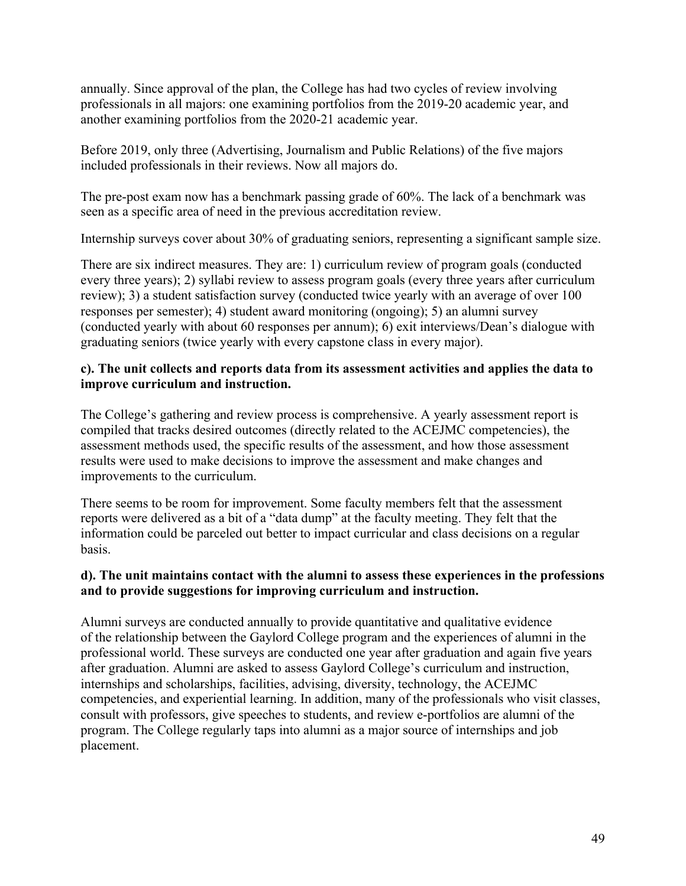annually. Since approval of the plan, the College has had two cycles of review involving professionals in all majors: one examining portfolios from the 2019-20 academic year, and another examining portfolios from the 2020-21 academic year.

Before 2019, only three (Advertising, Journalism and Public Relations) of the five majors included professionals in their reviews. Now all majors do.

The pre-post exam now has a benchmark passing grade of 60%. The lack of a benchmark was seen as a specific area of need in the previous accreditation review.

Internship surveys cover about 30% of graduating seniors, representing a significant sample size.

There are six indirect measures. They are: 1) curriculum review of program goals (conducted every three years); 2) syllabi review to assess program goals (every three years after curriculum review); 3) a student satisfaction survey (conducted twice yearly with an average of over 100 responses per semester); 4) student award monitoring (ongoing); 5) an alumni survey (conducted yearly with about 60 responses per annum); 6) exit interviews/Dean's dialogue with graduating seniors (twice yearly with every capstone class in every major).

# **c). The unit collects and reports data from its assessment activities and applies the data to improve curriculum and instruction.**

The College's gathering and review process is comprehensive. A yearly assessment report is compiled that tracks desired outcomes (directly related to the ACEJMC competencies), the assessment methods used, the specific results of the assessment, and how those assessment results were used to make decisions to improve the assessment and make changes and improvements to the curriculum.

There seems to be room for improvement. Some faculty members felt that the assessment reports were delivered as a bit of a "data dump" at the faculty meeting. They felt that the information could be parceled out better to impact curricular and class decisions on a regular basis.

# **d). The unit maintains contact with the alumni to assess these experiences in the professions and to provide suggestions for improving curriculum and instruction.**

Alumni surveys are conducted annually to provide quantitative and qualitative evidence of the relationship between the Gaylord College program and the experiences of alumni in the professional world. These surveys are conducted one year after graduation and again five years after graduation. Alumni are asked to assess Gaylord College's curriculum and instruction, internships and scholarships, facilities, advising, diversity, technology, the ACEJMC competencies, and experiential learning. In addition, many of the professionals who visit classes, consult with professors, give speeches to students, and review e-portfolios are alumni of the program. The College regularly taps into alumni as a major source of internships and job placement.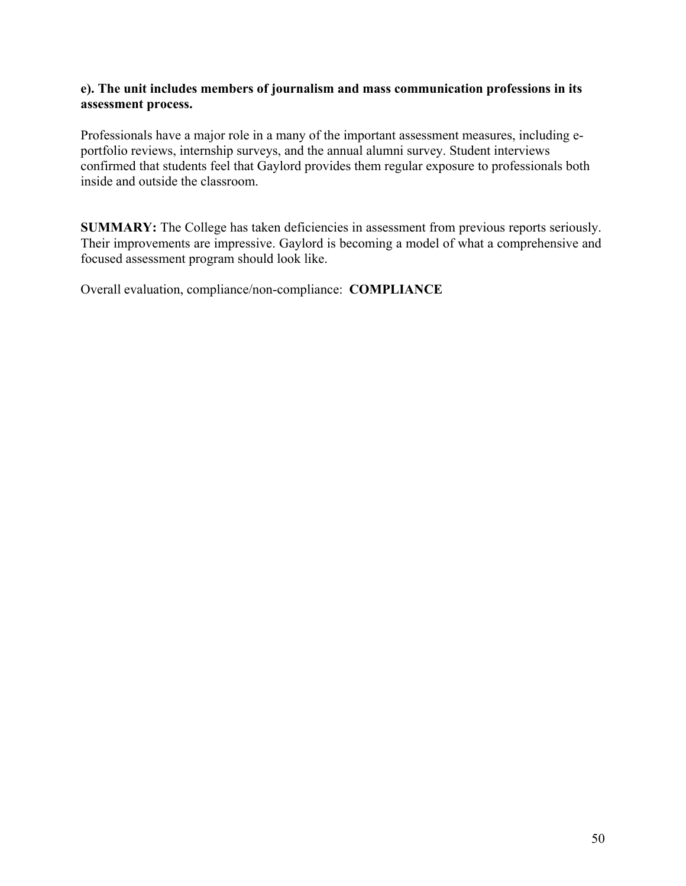#### **e). The unit includes members of journalism and mass communication professions in its assessment process.**

Professionals have a major role in a many of the important assessment measures, including eportfolio reviews, internship surveys, and the annual alumni survey. Student interviews confirmed that students feel that Gaylord provides them regular exposure to professionals both inside and outside the classroom.

**SUMMARY:** The College has taken deficiencies in assessment from previous reports seriously. Their improvements are impressive. Gaylord is becoming a model of what a comprehensive and focused assessment program should look like.

Overall evaluation, compliance/non-compliance: **COMPLIANCE**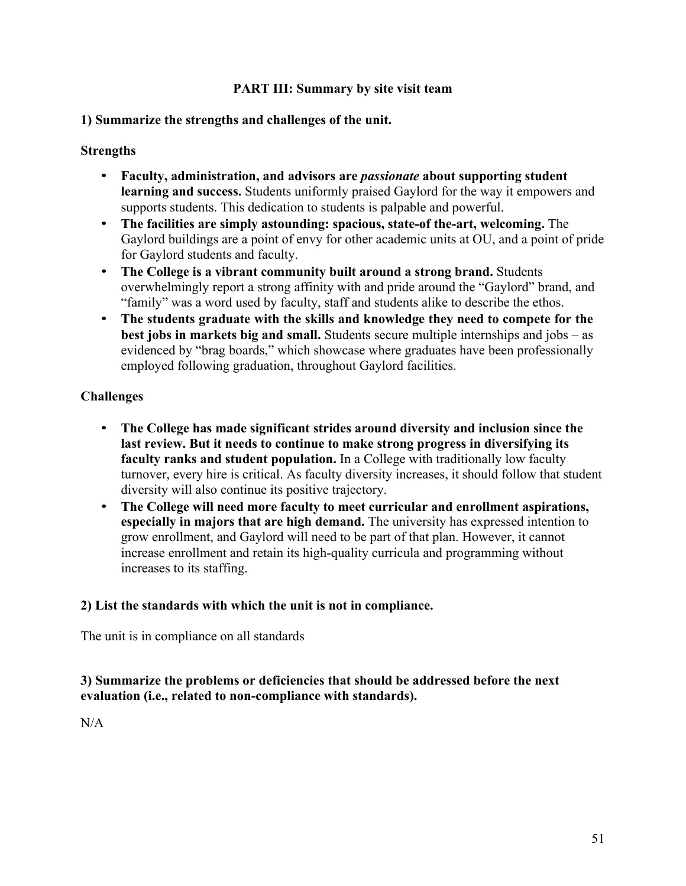# **PART III: Summary by site visit team**

#### **1) Summarize the strengths and challenges of the unit.**

#### **Strengths**

- **Faculty, administration, and advisors are** *passionate* **about supporting student learning and success.** Students uniformly praised Gaylord for the way it empowers and supports students. This dedication to students is palpable and powerful.
- **The facilities are simply astounding: spacious, state-of the-art, welcoming.** The Gaylord buildings are a point of envy for other academic units at OU, and a point of pride for Gaylord students and faculty.
- **The College is a vibrant community built around a strong brand.** Students overwhelmingly report a strong affinity with and pride around the "Gaylord" brand, and "family" was a word used by faculty, staff and students alike to describe the ethos.
- **The students graduate with the skills and knowledge they need to compete for the best jobs in markets big and small.** Students secure multiple internships and jobs – as evidenced by "brag boards," which showcase where graduates have been professionally employed following graduation, throughout Gaylord facilities.

# **Challenges**

- **The College has made significant strides around diversity and inclusion since the last review. But it needs to continue to make strong progress in diversifying its faculty ranks and student population.** In a College with traditionally low faculty turnover, every hire is critical. As faculty diversity increases, it should follow that student diversity will also continue its positive trajectory.
- **The College will need more faculty to meet curricular and enrollment aspirations, especially in majors that are high demand.** The university has expressed intention to grow enrollment, and Gaylord will need to be part of that plan. However, it cannot increase enrollment and retain its high-quality curricula and programming without increases to its staffing.

# **2) List the standards with which the unit is not in compliance.**

The unit is in compliance on all standards

# **3) Summarize the problems or deficiencies that should be addressed before the next evaluation (i.e., related to non-compliance with standards).**

 $N/A$